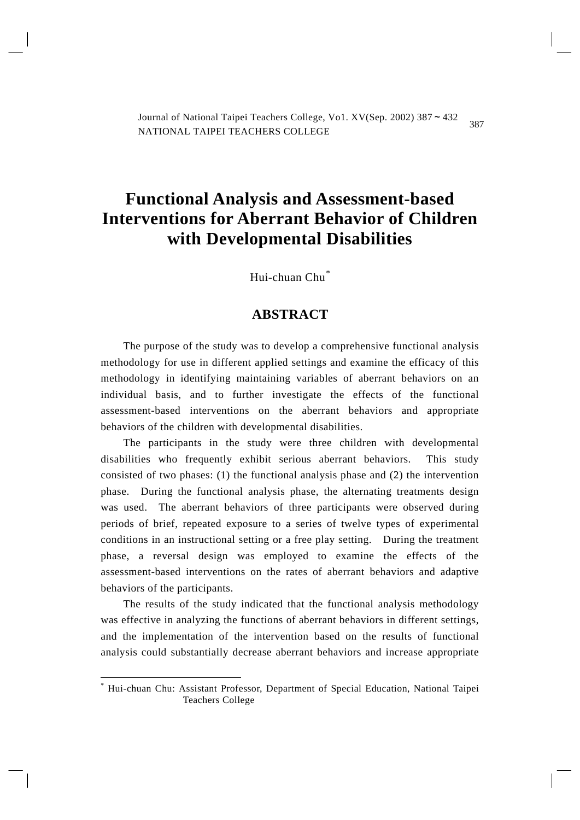387 National Taipei Teachers College Vol.  $\frac{V}{V}$   $\frac{V}{V}$  (Sep. 2002) 387  $\approx$  432 Journal of National Taipei Teachers College, Vo1. XV(Sep. 2002) 387~432 NATIONAL TAIPEI TEACHERS COLLEGE

# **Functional Analysis and Assessment-based Interventions for Aberrant Behavior of Children with Developmental Disabilities**

Hui-chuan Chu[\\*](#page-0-0)

# **ABSTRACT**

The purpose of the study was to develop a comprehensive functional analysis methodology for use in different applied settings and examine the efficacy of this methodology in identifying maintaining variables of aberrant behaviors on an individual basis, and to further investigate the effects of the functional assessment-based interventions on the aberrant behaviors and appropriate behaviors of the children with developmental disabilities.

The participants in the study were three children with developmental disabilities who frequently exhibit serious aberrant behaviors. This study consisted of two phases: (1) the functional analysis phase and (2) the intervention phase. During the functional analysis phase, the alternating treatments design was used. The aberrant behaviors of three participants were observed during periods of brief, repeated exposure to a series of twelve types of experimental conditions in an instructional setting or a free play setting. During the treatment phase, a reversal design was employed to examine the effects of the assessment-based interventions on the rates of aberrant behaviors and adaptive behaviors of the participants.

The results of the study indicated that the functional analysis methodology was effective in analyzing the functions of aberrant behaviors in different settings, and the implementation of the intervention based on the results of functional analysis could substantially decrease aberrant behaviors and increase appropriate

1

<span id="page-0-0"></span><sup>\*</sup> Hui-chuan Chu: Assistant Professor, Department of Special Education, National Taipei Teachers College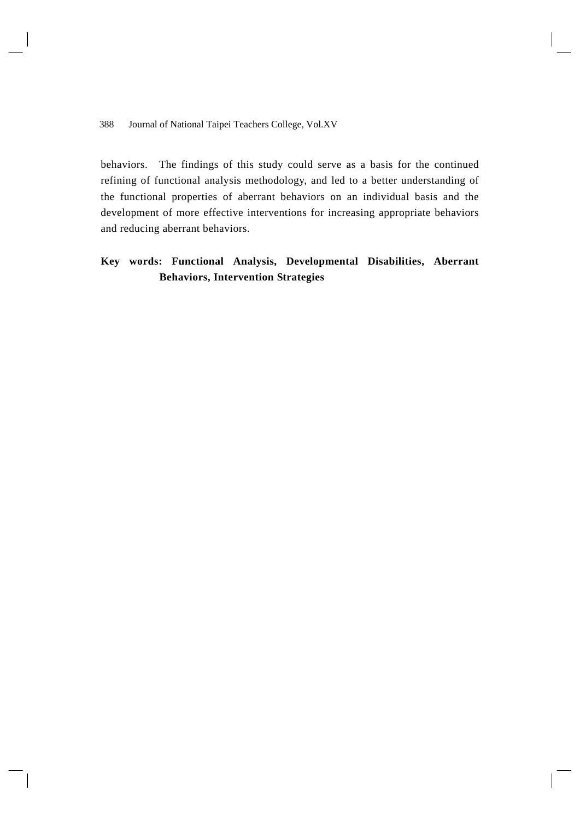behaviors. The findings of this study could serve as a basis for the continued refining of functional analysis methodology, and led to a better understanding of the functional properties of aberrant behaviors on an individual basis and the development of more effective interventions for increasing appropriate behaviors and reducing aberrant behaviors.

# **Key words: Functional Analysis, Developmental Disabilities, Aberrant Behaviors, Intervention Strategies**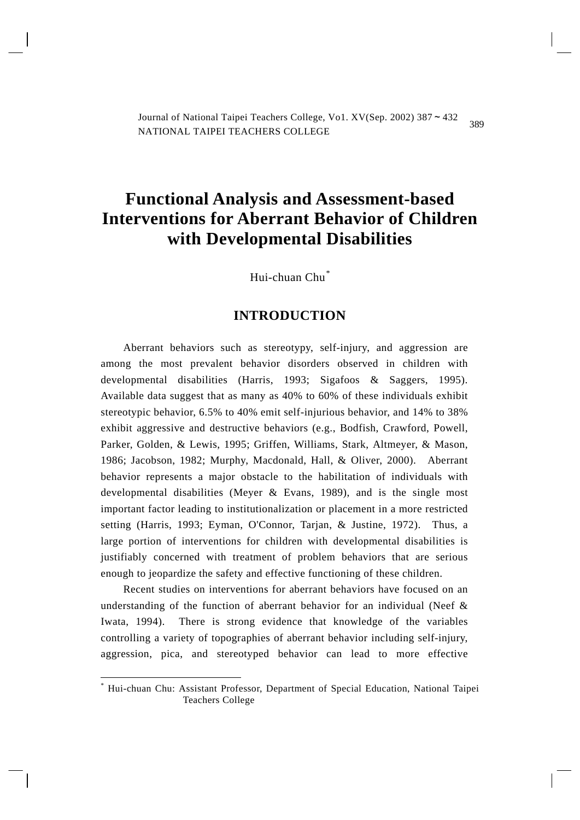389 National Taipei Teachers College Vol.  $\frac{V}{V}$   $\frac{V}{V}$  (Sep. 2002) 387  $\approx$  432 Journal of National Taipei Teachers College, Vo1. XV(Sep. 2002) 387~432 NATIONAL TAIPEI TEACHERS COLLEGE

# **Functional Analysis and Assessment-based Interventions for Aberrant Behavior of Children with Developmental Disabilities**

Hui-chuan Chu[\\*](#page-2-0)

# **INTRODUCTION**

Aberrant behaviors such as stereotypy, self-injury, and aggression are among the most prevalent behavior disorders observed in children with developmental disabilities (Harris, 1993; Sigafoos & Saggers, 1995). Available data suggest that as many as 40% to 60% of these individuals exhibit stereotypic behavior, 6.5% to 40% emit self-injurious behavior, and 14% to 38% exhibit aggressive and destructive behaviors (e.g., Bodfish, Crawford, Powell, Parker, Golden, & Lewis, 1995; Griffen, Williams, Stark, Altmeyer, & Mason, 1986; Jacobson, 1982; Murphy, Macdonald, Hall, & Oliver, 2000). Aberrant behavior represents a major obstacle to the habilitation of individuals with developmental disabilities (Meyer & Evans, 1989), and is the single most important factor leading to institutionalization or placement in a more restricted setting (Harris, 1993; Eyman, O'Connor, Tarjan, & Justine, 1972). Thus, a large portion of interventions for children with developmental disabilities is justifiably concerned with treatment of problem behaviors that are serious enough to jeopardize the safety and effective functioning of these children.

Recent studies on interventions for aberrant behaviors have focused on an understanding of the function of aberrant behavior for an individual (Neef  $\&$ Iwata, 1994). There is strong evidence that knowledge of the variables controlling a variety of topographies of aberrant behavior including self-injury, aggression, pica, and stereotyped behavior can lead to more effective

1

<span id="page-2-0"></span><sup>\*</sup> Hui-chuan Chu: Assistant Professor, Department of Special Education, National Taipei Teachers College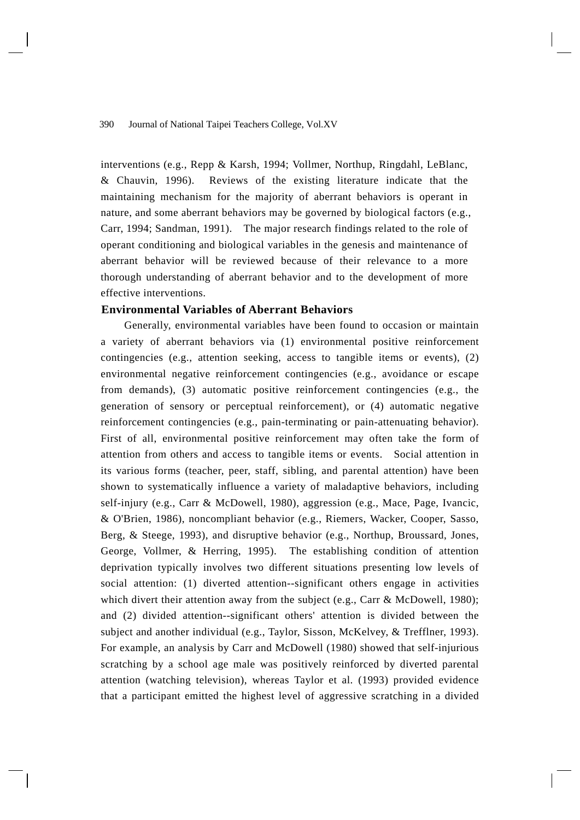interventions (e.g., Repp & Karsh, 1994; Vollmer, Northup, Ringdahl, LeBlanc, & Chauvin, 1996). Reviews of the existing literature indicate that the maintaining mechanism for the majority of aberrant behaviors is operant in nature, and some aberrant behaviors may be governed by biological factors (e.g., Carr, 1994; Sandman, 1991). The major research findings related to the role of operant conditioning and biological variables in the genesis and maintenance of aberrant behavior will be reviewed because of their relevance to a more thorough understanding of aberrant behavior and to the development of more effective interventions.

# **Environmental Variables of Aberrant Behaviors**

 Generally, environmental variables have been found to occasion or maintain a variety of aberrant behaviors via (1) environmental positive reinforcement contingencies (e.g., attention seeking, access to tangible items or events), (2) environmental negative reinforcement contingencies (e.g., avoidance or escape from demands), (3) automatic positive reinforcement contingencies (e.g., the generation of sensory or perceptual reinforcement), or (4) automatic negative reinforcement contingencies (e.g., pain-terminating or pain-attenuating behavior). First of all, environmental positive reinforcement may often take the form of attention from others and access to tangible items or events. Social attention in its various forms (teacher, peer, staff, sibling, and parental attention) have been shown to systematically influence a variety of maladaptive behaviors, including self-injury (e.g., Carr & McDowell, 1980), aggression (e.g., Mace, Page, Ivancic, & O'Brien, 1986), noncompliant behavior (e.g., Riemers, Wacker, Cooper, Sasso, Berg, & Steege, 1993), and disruptive behavior (e.g., Northup, Broussard, Jones, George, Vollmer, & Herring, 1995). The establishing condition of attention deprivation typically involves two different situations presenting low levels of social attention: (1) diverted attention--significant others engage in activities which divert their attention away from the subject (e.g., Carr & McDowell, 1980); and (2) divided attention--significant others' attention is divided between the subject and another individual (e.g., Taylor, Sisson, McKelvey, & Trefflner, 1993). For example, an analysis by Carr and McDowell (1980) showed that self-injurious scratching by a school age male was positively reinforced by diverted parental attention (watching television), whereas Taylor et al. (1993) provided evidence that a participant emitted the highest level of aggressive scratching in a divided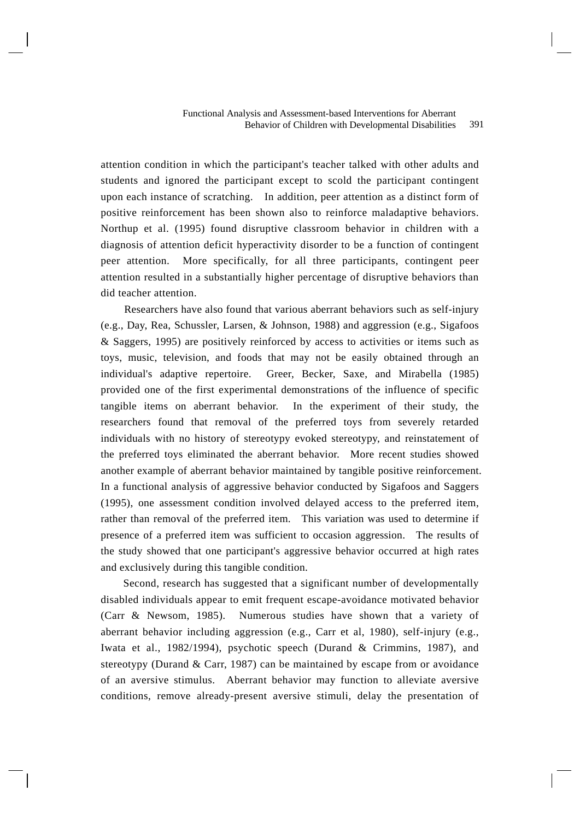attention condition in which the participant's teacher talked with other adults and students and ignored the participant except to scold the participant contingent upon each instance of scratching. In addition, peer attention as a distinct form of positive reinforcement has been shown also to reinforce maladaptive behaviors. Northup et al. (1995) found disruptive classroom behavior in children with a diagnosis of attention deficit hyperactivity disorder to be a function of contingent peer attention. More specifically, for all three participants, contingent peer attention resulted in a substantially higher percentage of disruptive behaviors than did teacher attention.

 Researchers have also found that various aberrant behaviors such as self-injury (e.g., Day, Rea, Schussler, Larsen, & Johnson, 1988) and aggression (e.g., Sigafoos & Saggers, 1995) are positively reinforced by access to activities or items such as toys, music, television, and foods that may not be easily obtained through an individual's adaptive repertoire. Greer, Becker, Saxe, and Mirabella (1985) provided one of the first experimental demonstrations of the influence of specific tangible items on aberrant behavior. In the experiment of their study, the researchers found that removal of the preferred toys from severely retarded individuals with no history of stereotypy evoked stereotypy, and reinstatement of the preferred toys eliminated the aberrant behavior. More recent studies showed another example of aberrant behavior maintained by tangible positive reinforcement. In a functional analysis of aggressive behavior conducted by Sigafoos and Saggers (1995), one assessment condition involved delayed access to the preferred item, rather than removal of the preferred item. This variation was used to determine if presence of a preferred item was sufficient to occasion aggression. The results of the study showed that one participant's aggressive behavior occurred at high rates and exclusively during this tangible condition.

Second, research has suggested that a significant number of developmentally disabled individuals appear to emit frequent escape-avoidance motivated behavior (Carr & Newsom, 1985). Numerous studies have shown that a variety of aberrant behavior including aggression (e.g., Carr et al, 1980), self-injury (e.g., Iwata et al., 1982/1994), psychotic speech (Durand & Crimmins, 1987), and stereotypy (Durand & Carr, 1987) can be maintained by escape from or avoidance of an aversive stimulus. Aberrant behavior may function to alleviate aversive conditions, remove already-present aversive stimuli, delay the presentation of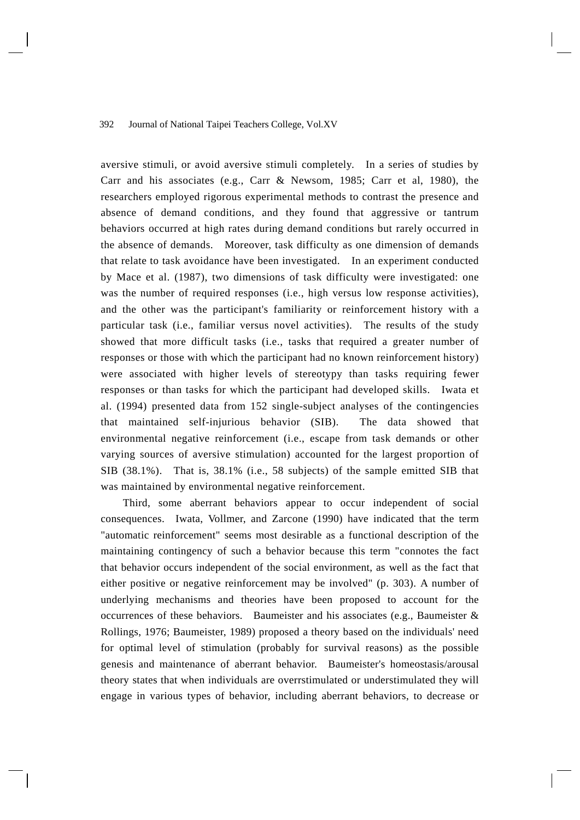aversive stimuli, or avoid aversive stimuli completely. In a series of studies by Carr and his associates (e.g., Carr & Newsom, 1985; Carr et al, 1980), the researchers employed rigorous experimental methods to contrast the presence and absence of demand conditions, and they found that aggressive or tantrum behaviors occurred at high rates during demand conditions but rarely occurred in the absence of demands. Moreover, task difficulty as one dimension of demands that relate to task avoidance have been investigated. In an experiment conducted by Mace et al. (1987), two dimensions of task difficulty were investigated: one was the number of required responses (i.e., high versus low response activities), and the other was the participant's familiarity or reinforcement history with a particular task (i.e., familiar versus novel activities). The results of the study showed that more difficult tasks (i.e., tasks that required a greater number of responses or those with which the participant had no known reinforcement history) were associated with higher levels of stereotypy than tasks requiring fewer responses or than tasks for which the participant had developed skills. Iwata et al. (1994) presented data from 152 single-subject analyses of the contingencies that maintained self-injurious behavior (SIB). The data showed that environmental negative reinforcement (i.e., escape from task demands or other varying sources of aversive stimulation) accounted for the largest proportion of SIB (38.1%). That is, 38.1% (i.e., 58 subjects) of the sample emitted SIB that was maintained by environmental negative reinforcement.

Third, some aberrant behaviors appear to occur independent of social consequences. Iwata, Vollmer, and Zarcone (1990) have indicated that the term "automatic reinforcement" seems most desirable as a functional description of the maintaining contingency of such a behavior because this term "connotes the fact that behavior occurs independent of the social environment, as well as the fact that either positive or negative reinforcement may be involved" (p. 303). A number of underlying mechanisms and theories have been proposed to account for the occurrences of these behaviors. Baumeister and his associates (e.g., Baumeister & Rollings, 1976; Baumeister, 1989) proposed a theory based on the individuals' need for optimal level of stimulation (probably for survival reasons) as the possible genesis and maintenance of aberrant behavior. Baumeister's homeostasis/arousal theory states that when individuals are overrstimulated or understimulated they will engage in various types of behavior, including aberrant behaviors, to decrease or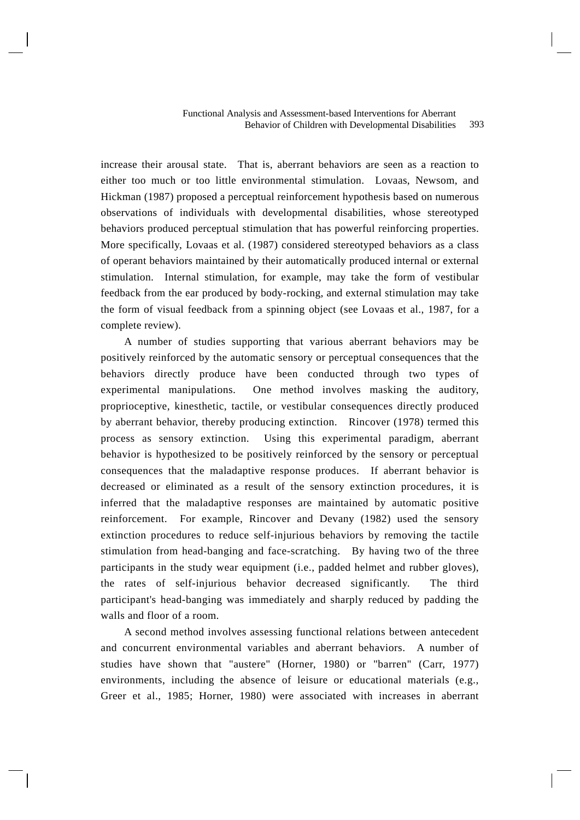increase their arousal state. That is, aberrant behaviors are seen as a reaction to either too much or too little environmental stimulation. Lovaas, Newsom, and Hickman (1987) proposed a perceptual reinforcement hypothesis based on numerous observations of individuals with developmental disabilities, whose stereotyped behaviors produced perceptual stimulation that has powerful reinforcing properties. More specifically, Lovaas et al. (1987) considered stereotyped behaviors as a class of operant behaviors maintained by their automatically produced internal or external stimulation. Internal stimulation, for example, may take the form of vestibular feedback from the ear produced by body-rocking, and external stimulation may take the form of visual feedback from a spinning object (see Lovaas et al., 1987, for a complete review).

 A number of studies supporting that various aberrant behaviors may be positively reinforced by the automatic sensory or perceptual consequences that the behaviors directly produce have been conducted through two types of experimental manipulations. One method involves masking the auditory, proprioceptive, kinesthetic, tactile, or vestibular consequences directly produced by aberrant behavior, thereby producing extinction. Rincover (1978) termed this process as sensory extinction. Using this experimental paradigm, aberrant behavior is hypothesized to be positively reinforced by the sensory or perceptual consequences that the maladaptive response produces. If aberrant behavior is decreased or eliminated as a result of the sensory extinction procedures, it is inferred that the maladaptive responses are maintained by automatic positive reinforcement. For example, Rincover and Devany (1982) used the sensory extinction procedures to reduce self-injurious behaviors by removing the tactile stimulation from head-banging and face-scratching. By having two of the three participants in the study wear equipment (i.e., padded helmet and rubber gloves), the rates of self-injurious behavior decreased significantly. The third participant's head-banging was immediately and sharply reduced by padding the walls and floor of a room.

 A second method involves assessing functional relations between antecedent and concurrent environmental variables and aberrant behaviors. A number of studies have shown that "austere" (Horner, 1980) or "barren" (Carr, 1977) environments, including the absence of leisure or educational materials (e.g., Greer et al., 1985; Horner, 1980) were associated with increases in aberrant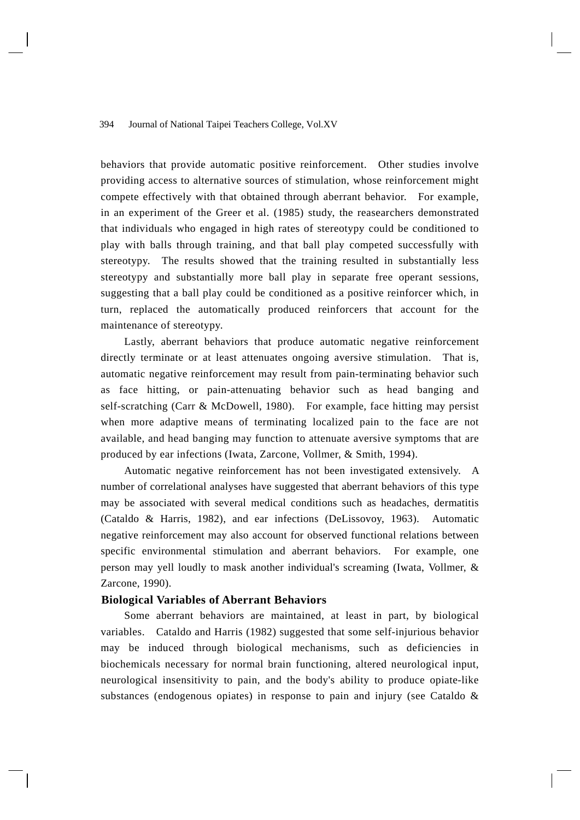behaviors that provide automatic positive reinforcement. Other studies involve providing access to alternative sources of stimulation, whose reinforcement might compete effectively with that obtained through aberrant behavior. For example, in an experiment of the Greer et al. (1985) study, the reasearchers demonstrated that individuals who engaged in high rates of stereotypy could be conditioned to play with balls through training, and that ball play competed successfully with stereotypy. The results showed that the training resulted in substantially less stereotypy and substantially more ball play in separate free operant sessions, suggesting that a ball play could be conditioned as a positive reinforcer which, in turn, replaced the automatically produced reinforcers that account for the maintenance of stereotypy.

 Lastly, aberrant behaviors that produce automatic negative reinforcement directly terminate or at least attenuates ongoing aversive stimulation. That is, automatic negative reinforcement may result from pain-terminating behavior such as face hitting, or pain-attenuating behavior such as head banging and self-scratching (Carr & McDowell, 1980). For example, face hitting may persist when more adaptive means of terminating localized pain to the face are not available, and head banging may function to attenuate aversive symptoms that are produced by ear infections (Iwata, Zarcone, Vollmer, & Smith, 1994).

 Automatic negative reinforcement has not been investigated extensively. A number of correlational analyses have suggested that aberrant behaviors of this type may be associated with several medical conditions such as headaches, dermatitis (Cataldo & Harris, 1982), and ear infections (DeLissovoy, 1963). Automatic negative reinforcement may also account for observed functional relations between specific environmental stimulation and aberrant behaviors. For example, one person may yell loudly to mask another individual's screaming (Iwata, Vollmer, & Zarcone, 1990).

#### **Biological Variables of Aberrant Behaviors**

 Some aberrant behaviors are maintained, at least in part, by biological variables. Cataldo and Harris (1982) suggested that some self-injurious behavior may be induced through biological mechanisms, such as deficiencies in biochemicals necessary for normal brain functioning, altered neurological input, neurological insensitivity to pain, and the body's ability to produce opiate-like substances (endogenous opiates) in response to pain and injury (see Cataldo &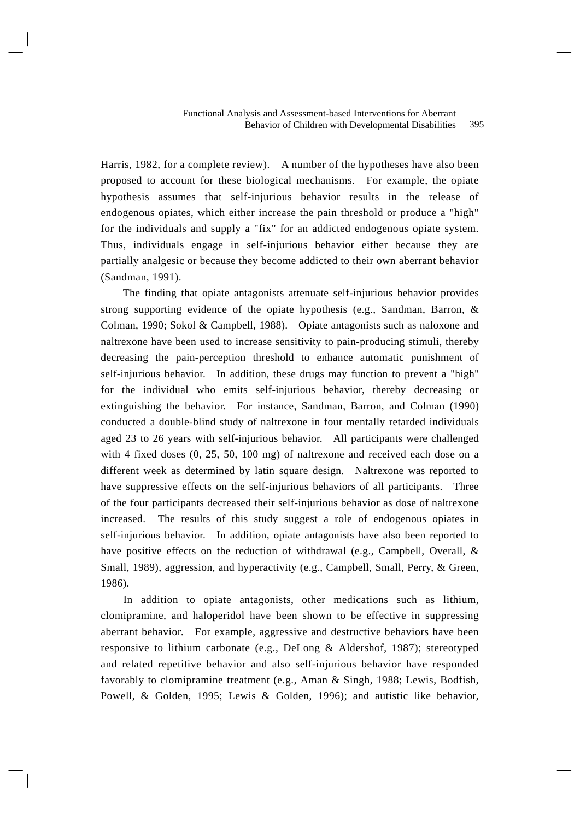#### 395 Functional Analysis and Assessment-based Interventions for Aberrant Behavior of Children with Developmental Disabilities

Harris, 1982, for a complete review). A number of the hypotheses have also been proposed to account for these biological mechanisms. For example, the opiate hypothesis assumes that self-injurious behavior results in the release of endogenous opiates, which either increase the pain threshold or produce a "high" for the individuals and supply a "fix" for an addicted endogenous opiate system. Thus, individuals engage in self-injurious behavior either because they are partially analgesic or because they become addicted to their own aberrant behavior (Sandman, 1991).

The finding that opiate antagonists attenuate self-injurious behavior provides strong supporting evidence of the opiate hypothesis (e.g., Sandman, Barron, & Colman, 1990; Sokol & Campbell, 1988). Opiate antagonists such as naloxone and naltrexone have been used to increase sensitivity to pain-producing stimuli, thereby decreasing the pain-perception threshold to enhance automatic punishment of self-injurious behavior. In addition, these drugs may function to prevent a "high" for the individual who emits self-injurious behavior, thereby decreasing or extinguishing the behavior. For instance, Sandman, Barron, and Colman (1990) conducted a double-blind study of naltrexone in four mentally retarded individuals aged 23 to 26 years with self-injurious behavior. All participants were challenged with 4 fixed doses (0, 25, 50, 100 mg) of naltrexone and received each dose on a different week as determined by latin square design. Naltrexone was reported to have suppressive effects on the self-injurious behaviors of all participants. Three of the four participants decreased their self-injurious behavior as dose of naltrexone increased. The results of this study suggest a role of endogenous opiates in self-injurious behavior. In addition, opiate antagonists have also been reported to have positive effects on the reduction of withdrawal (e.g., Campbell, Overall, & Small, 1989), aggression, and hyperactivity (e.g., Campbell, Small, Perry, & Green, 1986).

In addition to opiate antagonists, other medications such as lithium, clomipramine, and haloperidol have been shown to be effective in suppressing aberrant behavior. For example, aggressive and destructive behaviors have been responsive to lithium carbonate (e.g., DeLong & Aldershof, 1987); stereotyped and related repetitive behavior and also self-injurious behavior have responded favorably to clomipramine treatment (e.g., Aman & Singh, 1988; Lewis, Bodfish, Powell, & Golden, 1995; Lewis & Golden, 1996); and autistic like behavior,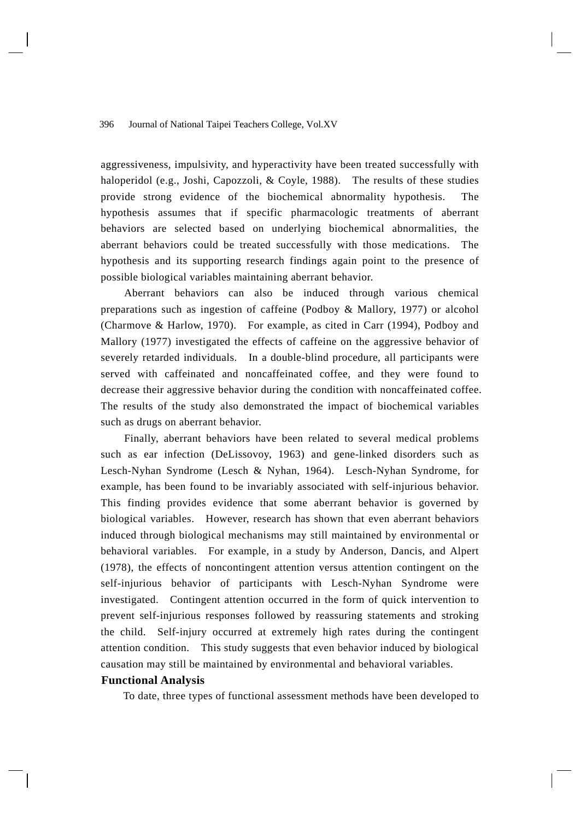aggressiveness, impulsivity, and hyperactivity have been treated successfully with haloperidol (e.g., Joshi, Capozzoli, & Coyle, 1988). The results of these studies provide strong evidence of the biochemical abnormality hypothesis. The hypothesis assumes that if specific pharmacologic treatments of aberrant behaviors are selected based on underlying biochemical abnormalities, the aberrant behaviors could be treated successfully with those medications. The hypothesis and its supporting research findings again point to the presence of possible biological variables maintaining aberrant behavior.

 Aberrant behaviors can also be induced through various chemical preparations such as ingestion of caffeine (Podboy & Mallory, 1977) or alcohol (Charmove & Harlow, 1970). For example, as cited in Carr (1994), Podboy and Mallory (1977) investigated the effects of caffeine on the aggressive behavior of severely retarded individuals. In a double-blind procedure, all participants were served with caffeinated and noncaffeinated coffee, and they were found to decrease their aggressive behavior during the condition with noncaffeinated coffee. The results of the study also demonstrated the impact of biochemical variables such as drugs on aberrant behavior.

 Finally, aberrant behaviors have been related to several medical problems such as ear infection (DeLissovoy, 1963) and gene-linked disorders such as Lesch-Nyhan Syndrome (Lesch & Nyhan, 1964). Lesch-Nyhan Syndrome, for example, has been found to be invariably associated with self-injurious behavior. This finding provides evidence that some aberrant behavior is governed by biological variables. However, research has shown that even aberrant behaviors induced through biological mechanisms may still maintained by environmental or behavioral variables. For example, in a study by Anderson, Dancis, and Alpert (1978), the effects of noncontingent attention versus attention contingent on the self-injurious behavior of participants with Lesch-Nyhan Syndrome were investigated. Contingent attention occurred in the form of quick intervention to prevent self-injurious responses followed by reassuring statements and stroking the child. Self-injury occurred at extremely high rates during the contingent attention condition. This study suggests that even behavior induced by biological causation may still be maintained by environmental and behavioral variables.

# **Functional Analysis**

To date, three types of functional assessment methods have been developed to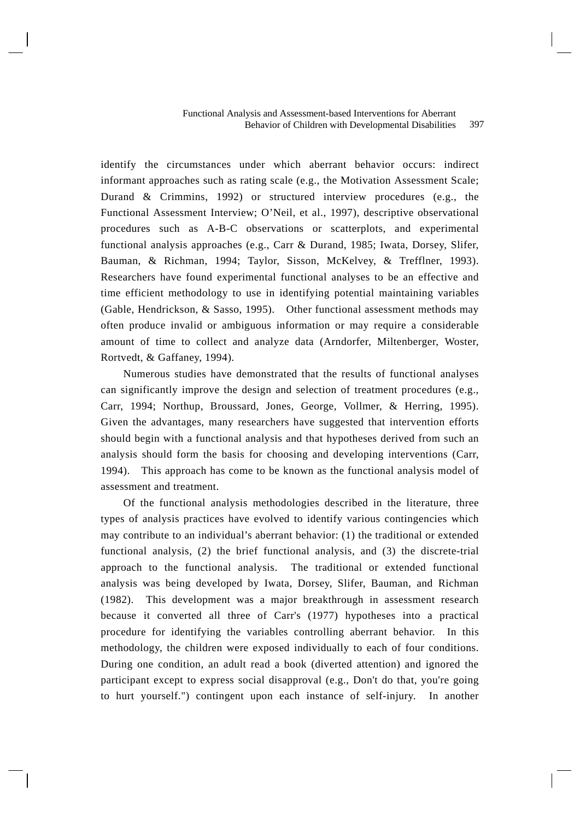identify the circumstances under which aberrant behavior occurs: indirect informant approaches such as rating scale (e.g., the Motivation Assessment Scale; Durand & Crimmins, 1992) or structured interview procedures (e.g., the Functional Assessment Interview; O'Neil, et al., 1997), descriptive observational procedures such as A-B-C observations or scatterplots, and experimental functional analysis approaches (e.g., Carr & Durand, 1985; Iwata, Dorsey, Slifer, Bauman, & Richman, 1994; Taylor, Sisson, McKelvey, & Trefflner, 1993). Researchers have found experimental functional analyses to be an effective and time efficient methodology to use in identifying potential maintaining variables (Gable, Hendrickson, & Sasso, 1995). Other functional assessment methods may often produce invalid or ambiguous information or may require a considerable amount of time to collect and analyze data (Arndorfer, Miltenberger, Woster, Rortvedt, & Gaffaney, 1994).

Numerous studies have demonstrated that the results of functional analyses can significantly improve the design and selection of treatment procedures (e.g., Carr, 1994; Northup, Broussard, Jones, George, Vollmer, & Herring, 1995). Given the advantages, many researchers have suggested that intervention efforts should begin with a functional analysis and that hypotheses derived from such an analysis should form the basis for choosing and developing interventions (Carr, 1994). This approach has come to be known as the functional analysis model of assessment and treatment.

Of the functional analysis methodologies described in the literature, three types of analysis practices have evolved to identify various contingencies which may contribute to an individual's aberrant behavior: (1) the traditional or extended functional analysis, (2) the brief functional analysis, and (3) the discrete-trial approach to the functional analysis. The traditional or extended functional analysis was being developed by Iwata, Dorsey, Slifer, Bauman, and Richman (1982). This development was a major breakthrough in assessment research because it converted all three of Carr's (1977) hypotheses into a practical procedure for identifying the variables controlling aberrant behavior. In this methodology, the children were exposed individually to each of four conditions. During one condition, an adult read a book (diverted attention) and ignored the participant except to express social disapproval (e.g., Don't do that, you're going to hurt yourself.") contingent upon each instance of self-injury. In another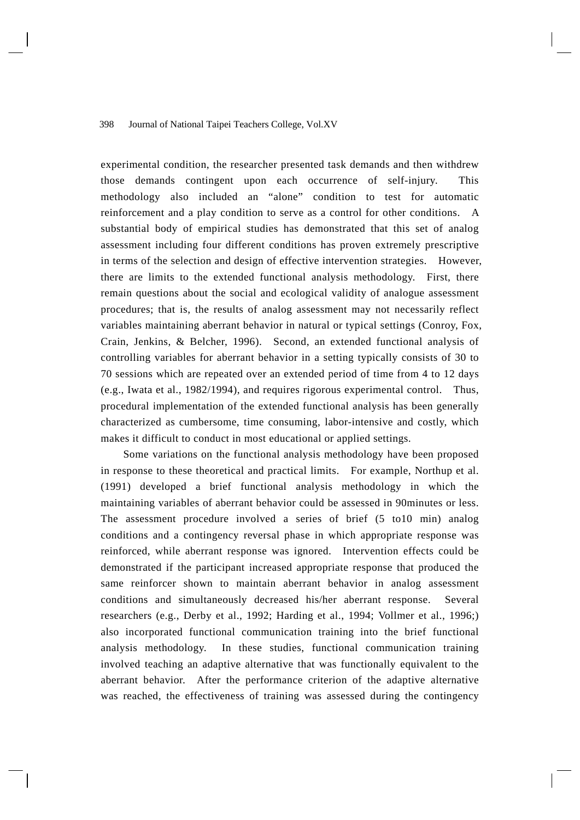experimental condition, the researcher presented task demands and then withdrew those demands contingent upon each occurrence of self-injury. This methodology also included an "alone" condition to test for automatic reinforcement and a play condition to serve as a control for other conditions. A substantial body of empirical studies has demonstrated that this set of analog assessment including four different conditions has proven extremely prescriptive in terms of the selection and design of effective intervention strategies. However, there are limits to the extended functional analysis methodology. First, there remain questions about the social and ecological validity of analogue assessment procedures; that is, the results of analog assessment may not necessarily reflect variables maintaining aberrant behavior in natural or typical settings (Conroy, Fox, Crain, Jenkins, & Belcher, 1996). Second, an extended functional analysis of controlling variables for aberrant behavior in a setting typically consists of 30 to 70 sessions which are repeated over an extended period of time from 4 to 12 days (e.g., Iwata et al., 1982/1994), and requires rigorous experimental control. Thus, procedural implementation of the extended functional analysis has been generally characterized as cumbersome, time consuming, labor-intensive and costly, which makes it difficult to conduct in most educational or applied settings.

Some variations on the functional analysis methodology have been proposed in response to these theoretical and practical limits. For example, Northup et al. (1991) developed a brief functional analysis methodology in which the maintaining variables of aberrant behavior could be assessed in 90minutes or less. The assessment procedure involved a series of brief (5 to10 min) analog conditions and a contingency reversal phase in which appropriate response was reinforced, while aberrant response was ignored. Intervention effects could be demonstrated if the participant increased appropriate response that produced the same reinforcer shown to maintain aberrant behavior in analog assessment conditions and simultaneously decreased his/her aberrant response. Several researchers (e.g., Derby et al., 1992; Harding et al., 1994; Vollmer et al., 1996;) also incorporated functional communication training into the brief functional analysis methodology. In these studies, functional communication training involved teaching an adaptive alternative that was functionally equivalent to the aberrant behavior. After the performance criterion of the adaptive alternative was reached, the effectiveness of training was assessed during the contingency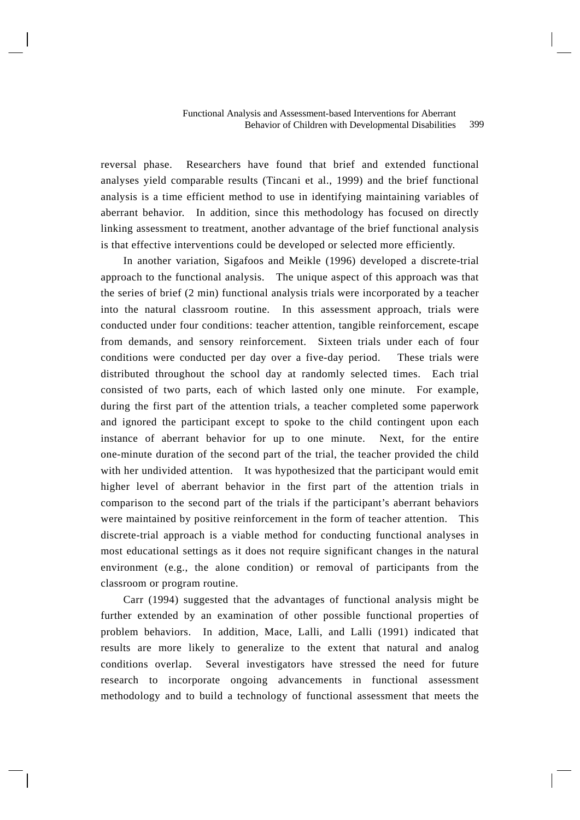reversal phase. Researchers have found that brief and extended functional analyses yield comparable results (Tincani et al., 1999) and the brief functional analysis is a time efficient method to use in identifying maintaining variables of aberrant behavior. In addition, since this methodology has focused on directly linking assessment to treatment, another advantage of the brief functional analysis is that effective interventions could be developed or selected more efficiently.

In another variation, Sigafoos and Meikle (1996) developed a discrete-trial approach to the functional analysis. The unique aspect of this approach was that the series of brief (2 min) functional analysis trials were incorporated by a teacher into the natural classroom routine. In this assessment approach, trials were conducted under four conditions: teacher attention, tangible reinforcement, escape from demands, and sensory reinforcement. Sixteen trials under each of four conditions were conducted per day over a five-day period. These trials were distributed throughout the school day at randomly selected times. Each trial consisted of two parts, each of which lasted only one minute. For example, during the first part of the attention trials, a teacher completed some paperwork and ignored the participant except to spoke to the child contingent upon each instance of aberrant behavior for up to one minute. Next, for the entire one-minute duration of the second part of the trial, the teacher provided the child with her undivided attention. It was hypothesized that the participant would emit higher level of aberrant behavior in the first part of the attention trials in comparison to the second part of the trials if the participant's aberrant behaviors were maintained by positive reinforcement in the form of teacher attention. This discrete-trial approach is a viable method for conducting functional analyses in most educational settings as it does not require significant changes in the natural environment (e.g., the alone condition) or removal of participants from the classroom or program routine.

Carr (1994) suggested that the advantages of functional analysis might be further extended by an examination of other possible functional properties of problem behaviors. In addition, Mace, Lalli, and Lalli (1991) indicated that results are more likely to generalize to the extent that natural and analog conditions overlap. Several investigators have stressed the need for future research to incorporate ongoing advancements in functional assessment methodology and to build a technology of functional assessment that meets the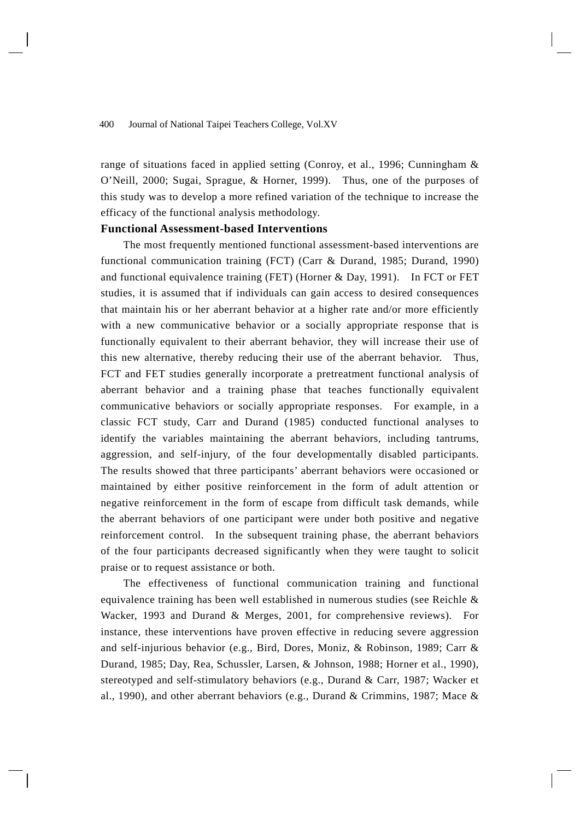range of situations faced in applied setting (Conroy, et al., 1996; Cunningham & O'Neill, 2000; Sugai, Sprague, & Horner, 1999). Thus, one of the purposes of this study was to develop a more refined variation of the technique to increase the efficacy of the functional analysis methodology.

# **Functional Assessment-based Interventions**

The most frequently mentioned functional assessment-based interventions are functional communication training (FCT) (Carr & Durand, 1985; Durand, 1990) and functional equivalence training (FET) (Horner & Day, 1991). In FCT or FET studies, it is assumed that if individuals can gain access to desired consequences that maintain his or her aberrant behavior at a higher rate and/or more efficiently with a new communicative behavior or a socially appropriate response that is functionally equivalent to their aberrant behavior, they will increase their use of this new alternative, thereby reducing their use of the aberrant behavior. Thus, FCT and FET studies generally incorporate a pretreatment functional analysis of aberrant behavior and a training phase that teaches functionally equivalent communicative behaviors or socially appropriate responses. For example, in a classic FCT study, Carr and Durand (1985) conducted functional analyses to identify the variables maintaining the aberrant behaviors, including tantrums, aggression, and self-injury, of the four developmentally disabled participants. The results showed that three participants' aberrant behaviors were occasioned or maintained by either positive reinforcement in the form of adult attention or negative reinforcement in the form of escape from difficult task demands, while the aberrant behaviors of one participant were under both positive and negative reinforcement control. In the subsequent training phase, the aberrant behaviors of the four participants decreased significantly when they were taught to solicit praise or to request assistance or both.

The effectiveness of functional communication training and functional equivalence training has been well established in numerous studies (see Reichle & Wacker, 1993 and Durand & Merges, 2001, for comprehensive reviews). For instance, these interventions have proven effective in reducing severe aggression and self-injurious behavior (e.g., Bird, Dores, Moniz, & Robinson, 1989; Carr & Durand, 1985; Day, Rea, Schussler, Larsen, & Johnson, 1988; Horner et al., 1990), stereotyped and self-stimulatory behaviors (e.g., Durand & Carr, 1987; Wacker et al., 1990), and other aberrant behaviors (e.g., Durand & Crimmins, 1987; Mace &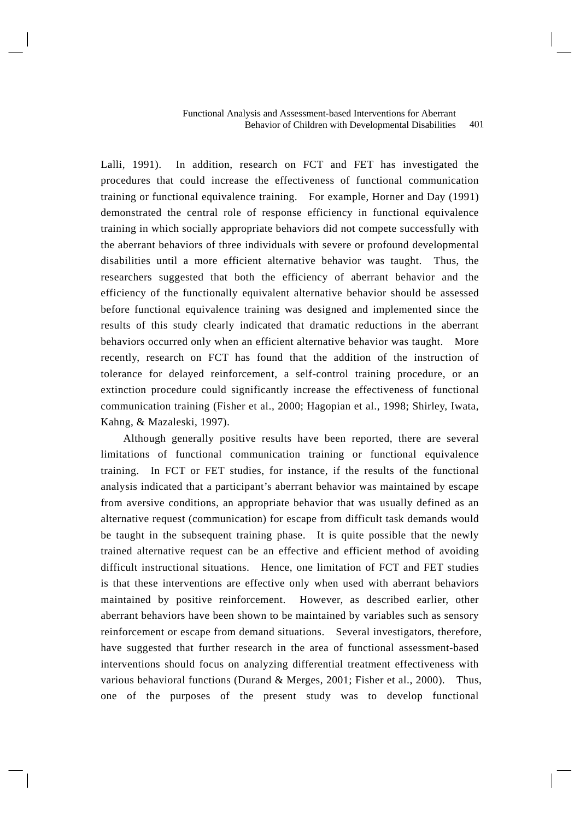Lalli, 1991). In addition, research on FCT and FET has investigated the procedures that could increase the effectiveness of functional communication training or functional equivalence training. For example, Horner and Day (1991) demonstrated the central role of response efficiency in functional equivalence training in which socially appropriate behaviors did not compete successfully with the aberrant behaviors of three individuals with severe or profound developmental disabilities until a more efficient alternative behavior was taught. Thus, the researchers suggested that both the efficiency of aberrant behavior and the efficiency of the functionally equivalent alternative behavior should be assessed before functional equivalence training was designed and implemented since the results of this study clearly indicated that dramatic reductions in the aberrant behaviors occurred only when an efficient alternative behavior was taught. More recently, research on FCT has found that the addition of the instruction of tolerance for delayed reinforcement, a self-control training procedure, or an extinction procedure could significantly increase the effectiveness of functional communication training (Fisher et al., 2000; Hagopian et al., 1998; Shirley, Iwata, Kahng, & Mazaleski, 1997).

Although generally positive results have been reported, there are several limitations of functional communication training or functional equivalence training. In FCT or FET studies, for instance, if the results of the functional analysis indicated that a participant's aberrant behavior was maintained by escape from aversive conditions, an appropriate behavior that was usually defined as an alternative request (communication) for escape from difficult task demands would be taught in the subsequent training phase. It is quite possible that the newly trained alternative request can be an effective and efficient method of avoiding difficult instructional situations. Hence, one limitation of FCT and FET studies is that these interventions are effective only when used with aberrant behaviors maintained by positive reinforcement. However, as described earlier, other aberrant behaviors have been shown to be maintained by variables such as sensory reinforcement or escape from demand situations. Several investigators, therefore, have suggested that further research in the area of functional assessment-based interventions should focus on analyzing differential treatment effectiveness with various behavioral functions (Durand & Merges, 2001; Fisher et al., 2000). Thus, one of the purposes of the present study was to develop functional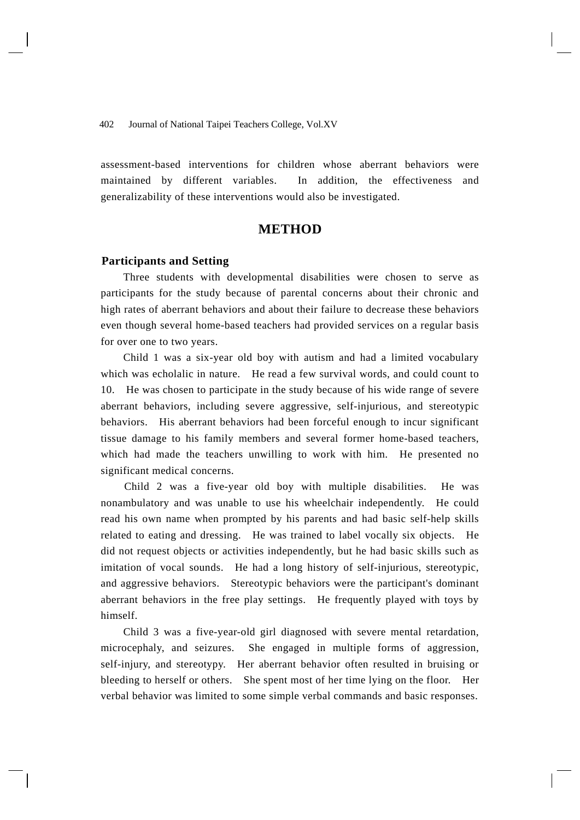assessment-based interventions for children whose aberrant behaviors were maintained by different variables. In addition, the effectiveness and generalizability of these interventions would also be investigated.

# **METHOD**

## **Participants and Setting**

Three students with developmental disabilities were chosen to serve as participants for the study because of parental concerns about their chronic and high rates of aberrant behaviors and about their failure to decrease these behaviors even though several home-based teachers had provided services on a regular basis for over one to two years.

Child 1 was a six-year old boy with autism and had a limited vocabulary which was echolalic in nature. He read a few survival words, and could count to 10. He was chosen to participate in the study because of his wide range of severe aberrant behaviors, including severe aggressive, self-injurious, and stereotypic behaviors. His aberrant behaviors had been forceful enough to incur significant tissue damage to his family members and several former home-based teachers, which had made the teachers unwilling to work with him. He presented no significant medical concerns.

 Child 2 was a five-year old boy with multiple disabilities. He was nonambulatory and was unable to use his wheelchair independently. He could read his own name when prompted by his parents and had basic self-help skills related to eating and dressing. He was trained to label vocally six objects. He did not request objects or activities independently, but he had basic skills such as imitation of vocal sounds. He had a long history of self-injurious, stereotypic, and aggressive behaviors. Stereotypic behaviors were the participant's dominant aberrant behaviors in the free play settings. He frequently played with toys by himself.

Child 3 was a five-year-old girl diagnosed with severe mental retardation, microcephaly, and seizures. She engaged in multiple forms of aggression, self-injury, and stereotypy. Her aberrant behavior often resulted in bruising or bleeding to herself or others. She spent most of her time lying on the floor. Her verbal behavior was limited to some simple verbal commands and basic responses.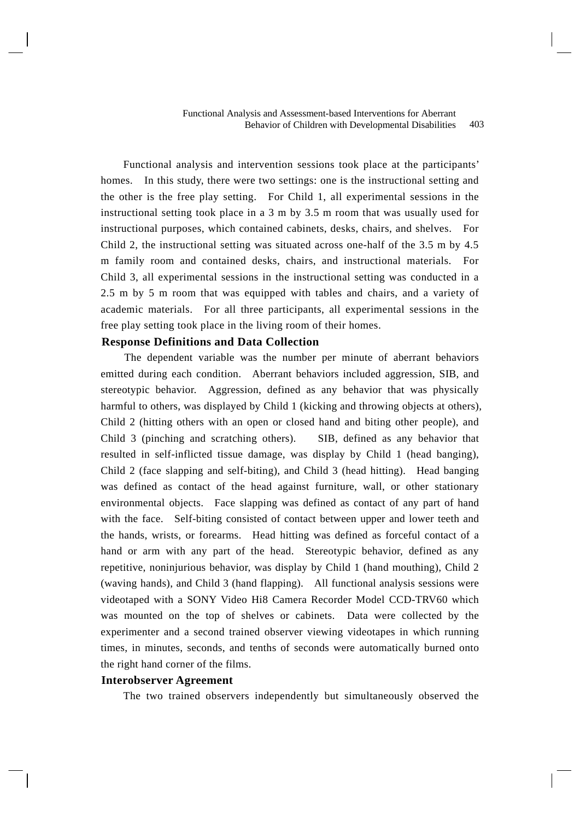Functional analysis and intervention sessions took place at the participants' homes. In this study, there were two settings: one is the instructional setting and the other is the free play setting. For Child 1, all experimental sessions in the instructional setting took place in a 3 m by 3.5 m room that was usually used for instructional purposes, which contained cabinets, desks, chairs, and shelves. Child 2, the instructional setting was situated across one-half of the 3.5 m by 4.5 m family room and contained desks, chairs, and instructional materials. For Child 3, all experimental sessions in the instructional setting was conducted in a 2.5 m by 5 m room that was equipped with tables and chairs, and a variety of academic materials. For all three participants, all experimental sessions in the free play setting took place in the living room of their homes.

# **Response Definitions and Data Collection**

 The dependent variable was the number per minute of aberrant behaviors emitted during each condition. Aberrant behaviors included aggression, SIB, and stereotypic behavior. Aggression, defined as any behavior that was physically harmful to others, was displayed by Child 1 (kicking and throwing objects at others), Child 2 (hitting others with an open or closed hand and biting other people), and Child 3 (pinching and scratching others). SIB, defined as any behavior that resulted in self-inflicted tissue damage, was display by Child 1 (head banging), Child 2 (face slapping and self-biting), and Child 3 (head hitting). Head banging was defined as contact of the head against furniture, wall, or other stationary environmental objects. Face slapping was defined as contact of any part of hand with the face. Self-biting consisted of contact between upper and lower teeth and the hands, wrists, or forearms. Head hitting was defined as forceful contact of a hand or arm with any part of the head. Stereotypic behavior, defined as any repetitive, noninjurious behavior, was display by Child 1 (hand mouthing), Child 2 (waving hands), and Child 3 (hand flapping). All functional analysis sessions were videotaped with a SONY Video Hi8 Camera Recorder Model CCD-TRV60 which was mounted on the top of shelves or cabinets. Data were collected by the experimenter and a second trained observer viewing videotapes in which running times, in minutes, seconds, and tenths of seconds were automatically burned onto the right hand corner of the films.

#### **Interobserver Agreement**

The two trained observers independently but simultaneously observed the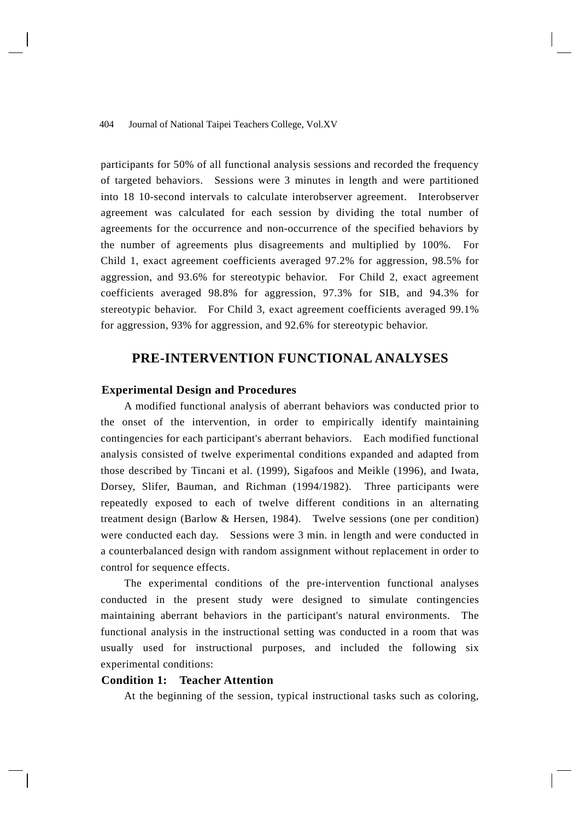participants for 50% of all functional analysis sessions and recorded the frequency of targeted behaviors. Sessions were 3 minutes in length and were partitioned into 18 10-second intervals to calculate interobserver agreement. Interobserver agreement was calculated for each session by dividing the total number of agreements for the occurrence and non-occurrence of the specified behaviors by the number of agreements plus disagreements and multiplied by 100%. For Child 1, exact agreement coefficients averaged 97.2% for aggression, 98.5% for aggression, and 93.6% for stereotypic behavior. For Child 2, exact agreement coefficients averaged 98.8% for aggression, 97.3% for SIB, and 94.3% for stereotypic behavior. For Child 3, exact agreement coefficients averaged 99.1% for aggression, 93% for aggression, and 92.6% for stereotypic behavior.

# **PRE-INTERVENTION FUNCTIONAL ANALYSES**

# **Experimental Design and Procedures**

 A modified functional analysis of aberrant behaviors was conducted prior to the onset of the intervention, in order to empirically identify maintaining contingencies for each participant's aberrant behaviors. Each modified functional analysis consisted of twelve experimental conditions expanded and adapted from those described by Tincani et al. (1999), Sigafoos and Meikle (1996), and Iwata, Dorsey, Slifer, Bauman, and Richman (1994/1982). Three participants were repeatedly exposed to each of twelve different conditions in an alternating treatment design (Barlow & Hersen, 1984). Twelve sessions (one per condition) were conducted each day. Sessions were 3 min. in length and were conducted in a counterbalanced design with random assignment without replacement in order to control for sequence effects.

 The experimental conditions of the pre-intervention functional analyses conducted in the present study were designed to simulate contingencies maintaining aberrant behaviors in the participant's natural environments. The functional analysis in the instructional setting was conducted in a room that was usually used for instructional purposes, and included the following six experimental conditions:

# **Condition 1: Teacher Attention**

At the beginning of the session, typical instructional tasks such as coloring,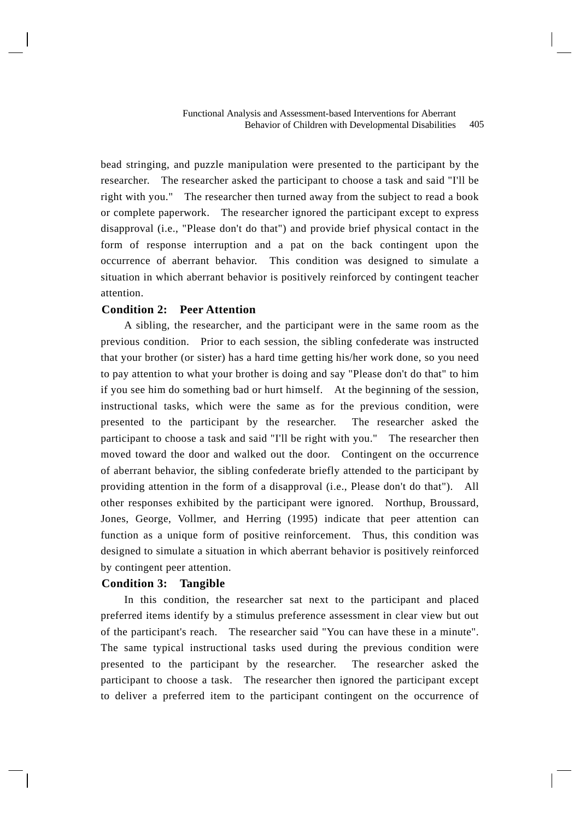bead stringing, and puzzle manipulation were presented to the participant by the researcher. The researcher asked the participant to choose a task and said "I'll be right with you." The researcher then turned away from the subject to read a book or complete paperwork. The researcher ignored the participant except to express disapproval (i.e., "Please don't do that") and provide brief physical contact in the form of response interruption and a pat on the back contingent upon the occurrence of aberrant behavior. This condition was designed to simulate a situation in which aberrant behavior is positively reinforced by contingent teacher attention.

# **Condition 2: Peer Attention**

 A sibling, the researcher, and the participant were in the same room as the previous condition. Prior to each session, the sibling confederate was instructed that your brother (or sister) has a hard time getting his/her work done, so you need to pay attention to what your brother is doing and say "Please don't do that" to him if you see him do something bad or hurt himself. At the beginning of the session, instructional tasks, which were the same as for the previous condition, were presented to the participant by the researcher. The researcher asked the participant to choose a task and said "I'll be right with you." The researcher then moved toward the door and walked out the door. Contingent on the occurrence of aberrant behavior, the sibling confederate briefly attended to the participant by providing attention in the form of a disapproval (i.e., Please don't do that"). All other responses exhibited by the participant were ignored. Northup, Broussard, Jones, George, Vollmer, and Herring (1995) indicate that peer attention can function as a unique form of positive reinforcement. Thus, this condition was designed to simulate a situation in which aberrant behavior is positively reinforced by contingent peer attention.

# **Condition 3: Tangible**

 In this condition, the researcher sat next to the participant and placed preferred items identify by a stimulus preference assessment in clear view but out of the participant's reach. The researcher said "You can have these in a minute". The same typical instructional tasks used during the previous condition were presented to the participant by the researcher. The researcher asked the participant to choose a task. The researcher then ignored the participant except to deliver a preferred item to the participant contingent on the occurrence of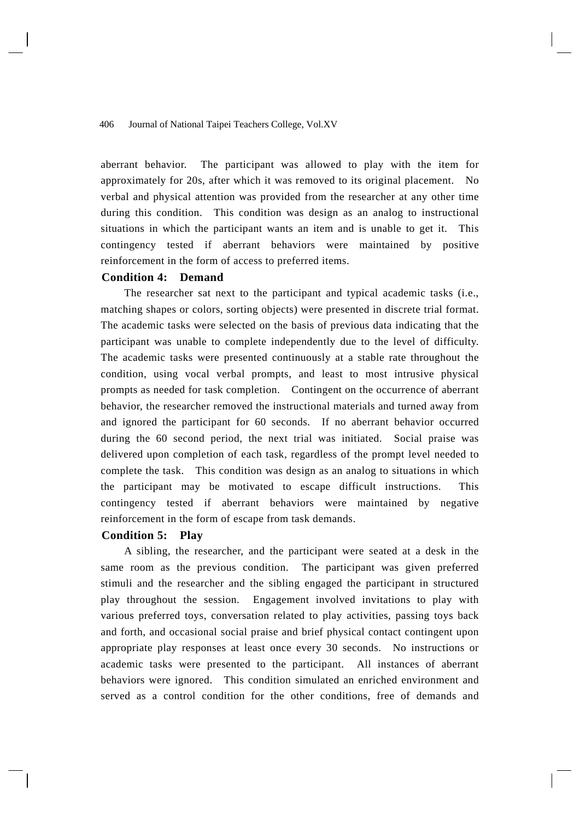aberrant behavior. The participant was allowed to play with the item for approximately for 20s, after which it was removed to its original placement. No verbal and physical attention was provided from the researcher at any other time during this condition. This condition was design as an analog to instructional situations in which the participant wants an item and is unable to get it. This contingency tested if aberrant behaviors were maintained by positive reinforcement in the form of access to preferred items.

# **Condition 4: Demand**

 The researcher sat next to the participant and typical academic tasks (i.e., matching shapes or colors, sorting objects) were presented in discrete trial format. The academic tasks were selected on the basis of previous data indicating that the participant was unable to complete independently due to the level of difficulty. The academic tasks were presented continuously at a stable rate throughout the condition, using vocal verbal prompts, and least to most intrusive physical prompts as needed for task completion. Contingent on the occurrence of aberrant behavior, the researcher removed the instructional materials and turned away from and ignored the participant for 60 seconds. If no aberrant behavior occurred during the 60 second period, the next trial was initiated. Social praise was delivered upon completion of each task, regardless of the prompt level needed to complete the task. This condition was design as an analog to situations in which the participant may be motivated to escape difficult instructions. This contingency tested if aberrant behaviors were maintained by negative reinforcement in the form of escape from task demands.

#### **Condition 5: Play**

 A sibling, the researcher, and the participant were seated at a desk in the same room as the previous condition. The participant was given preferred stimuli and the researcher and the sibling engaged the participant in structured play throughout the session. Engagement involved invitations to play with various preferred toys, conversation related to play activities, passing toys back and forth, and occasional social praise and brief physical contact contingent upon appropriate play responses at least once every 30 seconds. No instructions or academic tasks were presented to the participant. All instances of aberrant behaviors were ignored. This condition simulated an enriched environment and served as a control condition for the other conditions, free of demands and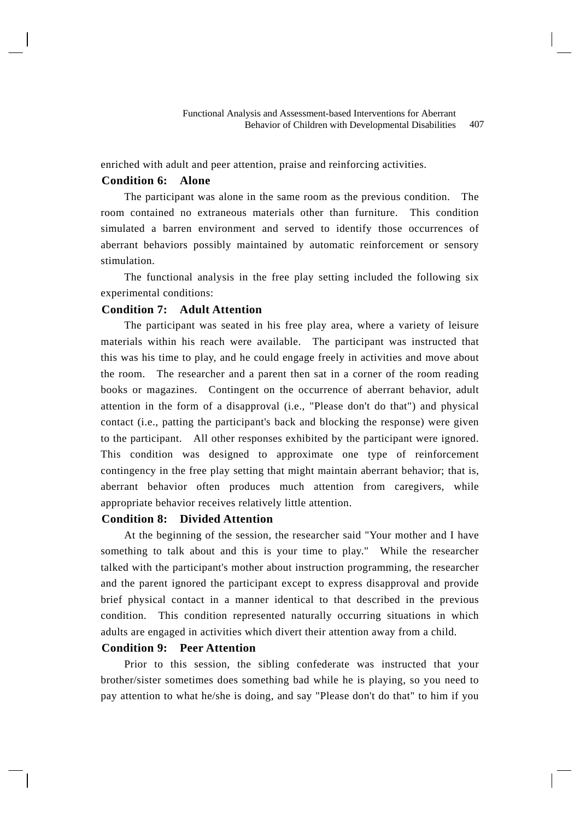enriched with adult and peer attention, praise and reinforcing activities.

# **Condition 6: Alone**

 The participant was alone in the same room as the previous condition. The room contained no extraneous materials other than furniture. This condition simulated a barren environment and served to identify those occurrences of aberrant behaviors possibly maintained by automatic reinforcement or sensory stimulation.

 The functional analysis in the free play setting included the following six experimental conditions:

# **Condition 7: Adult Attention**

 The participant was seated in his free play area, where a variety of leisure materials within his reach were available. The participant was instructed that this was his time to play, and he could engage freely in activities and move about the room. The researcher and a parent then sat in a corner of the room reading books or magazines. Contingent on the occurrence of aberrant behavior, adult attention in the form of a disapproval (i.e., "Please don't do that") and physical contact (i.e., patting the participant's back and blocking the response) were given to the participant. All other responses exhibited by the participant were ignored. This condition was designed to approximate one type of reinforcement contingency in the free play setting that might maintain aberrant behavior; that is, aberrant behavior often produces much attention from caregivers, while appropriate behavior receives relatively little attention.

# **Condition 8: Divided Attention**

 At the beginning of the session, the researcher said "Your mother and I have something to talk about and this is your time to play." While the researcher talked with the participant's mother about instruction programming, the researcher and the parent ignored the participant except to express disapproval and provide brief physical contact in a manner identical to that described in the previous condition. This condition represented naturally occurring situations in which adults are engaged in activities which divert their attention away from a child.

# **Condition 9: Peer Attention**

 Prior to this session, the sibling confederate was instructed that your brother/sister sometimes does something bad while he is playing, so you need to pay attention to what he/she is doing, and say "Please don't do that" to him if you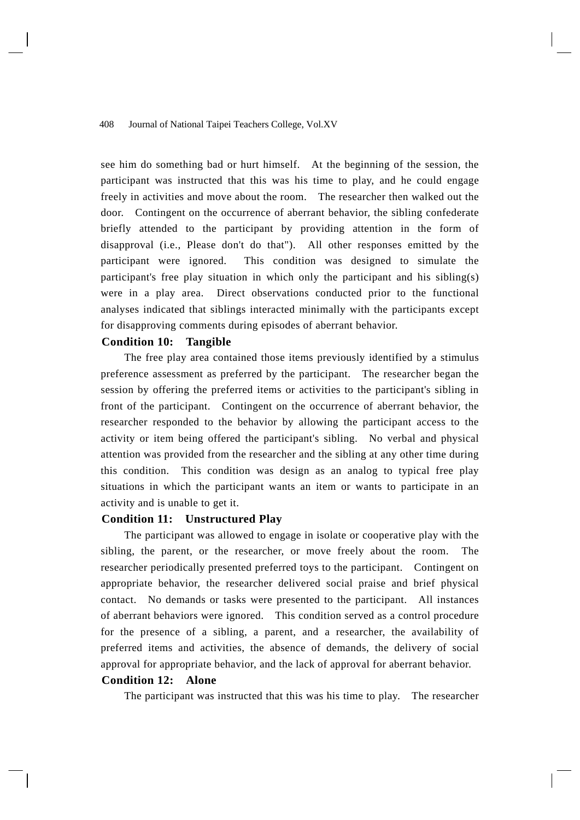see him do something bad or hurt himself. At the beginning of the session, the participant was instructed that this was his time to play, and he could engage freely in activities and move about the room. The researcher then walked out the door. Contingent on the occurrence of aberrant behavior, the sibling confederate briefly attended to the participant by providing attention in the form of disapproval (i.e., Please don't do that"). All other responses emitted by the participant were ignored. This condition was designed to simulate the participant's free play situation in which only the participant and his sibling(s) were in a play area. Direct observations conducted prior to the functional analyses indicated that siblings interacted minimally with the participants except for disapproving comments during episodes of aberrant behavior.

# **Condition 10: Tangible**

 The free play area contained those items previously identified by a stimulus preference assessment as preferred by the participant. The researcher began the session by offering the preferred items or activities to the participant's sibling in front of the participant. Contingent on the occurrence of aberrant behavior, the researcher responded to the behavior by allowing the participant access to the activity or item being offered the participant's sibling. No verbal and physical attention was provided from the researcher and the sibling at any other time during this condition. This condition was design as an analog to typical free play situations in which the participant wants an item or wants to participate in an activity and is unable to get it.

# **Condition 11: Unstructured Play**

 The participant was allowed to engage in isolate or cooperative play with the sibling, the parent, or the researcher, or move freely about the room. The researcher periodically presented preferred toys to the participant. Contingent on appropriate behavior, the researcher delivered social praise and brief physical contact. No demands or tasks were presented to the participant. All instances of aberrant behaviors were ignored. This condition served as a control procedure for the presence of a sibling, a parent, and a researcher, the availability of preferred items and activities, the absence of demands, the delivery of social approval for appropriate behavior, and the lack of approval for aberrant behavior.

# **Condition 12: Alone**

The participant was instructed that this was his time to play. The researcher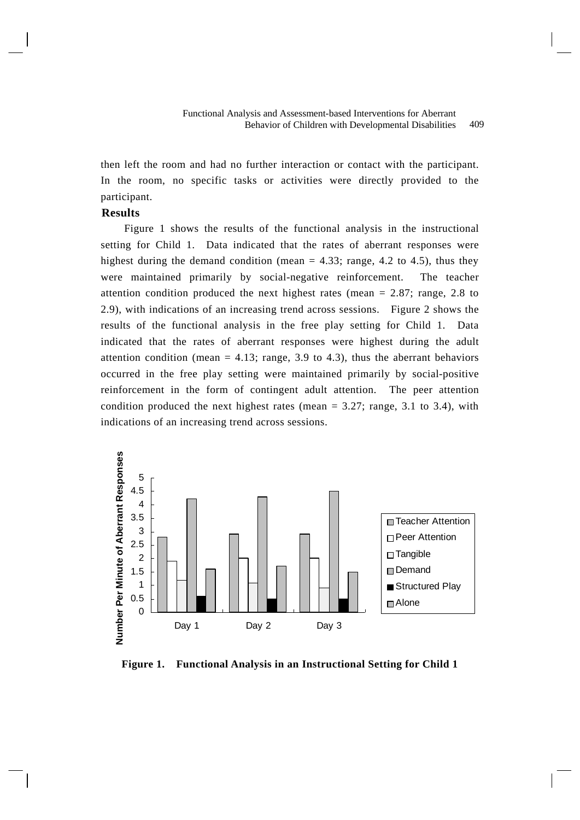then left the room and had no further interaction or contact with the participant. In the room, no specific tasks or activities were directly provided to the participant.

# **Results**

 Figure 1 shows the results of the functional analysis in the instructional setting for Child 1. Data indicated that the rates of aberrant responses were highest during the demand condition (mean  $= 4.33$ ; range, 4.2 to 4.5), thus they were maintained primarily by social-negative reinforcement. The teacher attention condition produced the next highest rates (mean  $= 2.87$ ; range, 2.8 to 2.9), with indications of an increasing trend across sessions. Figure 2 shows the results of the functional analysis in the free play setting for Child 1. Data indicated that the rates of aberrant responses were highest during the adult attention condition (mean  $= 4.13$ ; range, 3.9 to 4.3), thus the aberrant behaviors occurred in the free play setting were maintained primarily by social-positive reinforcement in the form of contingent adult attention. The peer attention condition produced the next highest rates (mean  $= 3.27$ ; range, 3.1 to 3.4), with indications of an increasing trend across sessions.



**Figure 1. Functional Analysis in an Instructional Setting for Child 1**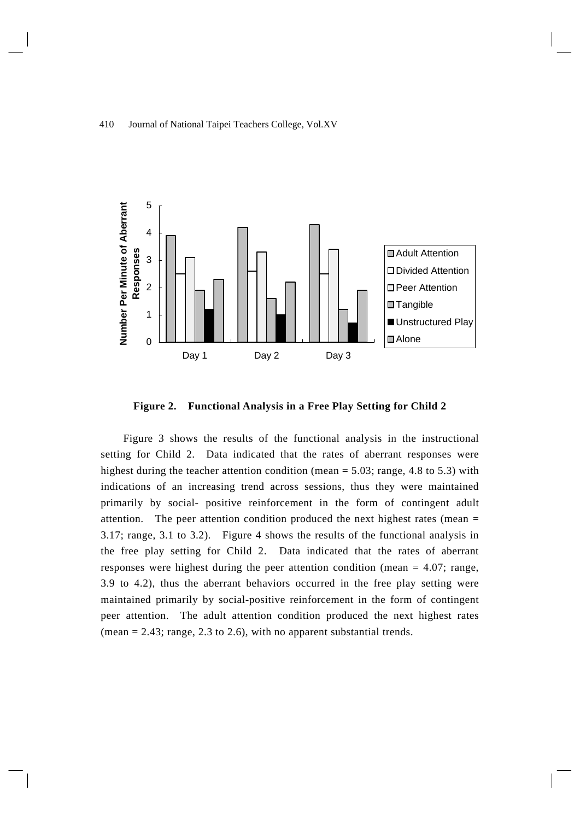

**Figure 2. Functional Analysis in a Free Play Setting for Child 2** 

Figure 3 shows the results of the functional analysis in the instructional setting for Child 2. Data indicated that the rates of aberrant responses were highest during the teacher attention condition (mean  $= 5.03$ ; range, 4.8 to 5.3) with indications of an increasing trend across sessions, thus they were maintained primarily by social- positive reinforcement in the form of contingent adult attention. The peer attention condition produced the next highest rates (mean = 3.17; range, 3.1 to 3.2). Figure 4 shows the results of the functional analysis in the free play setting for Child 2. Data indicated that the rates of aberrant responses were highest during the peer attention condition (mean = 4.07; range, 3.9 to 4.2), thus the aberrant behaviors occurred in the free play setting were maintained primarily by social-positive reinforcement in the form of contingent peer attention. The adult attention condition produced the next highest rates (mean  $= 2.43$ ; range, 2.3 to 2.6), with no apparent substantial trends.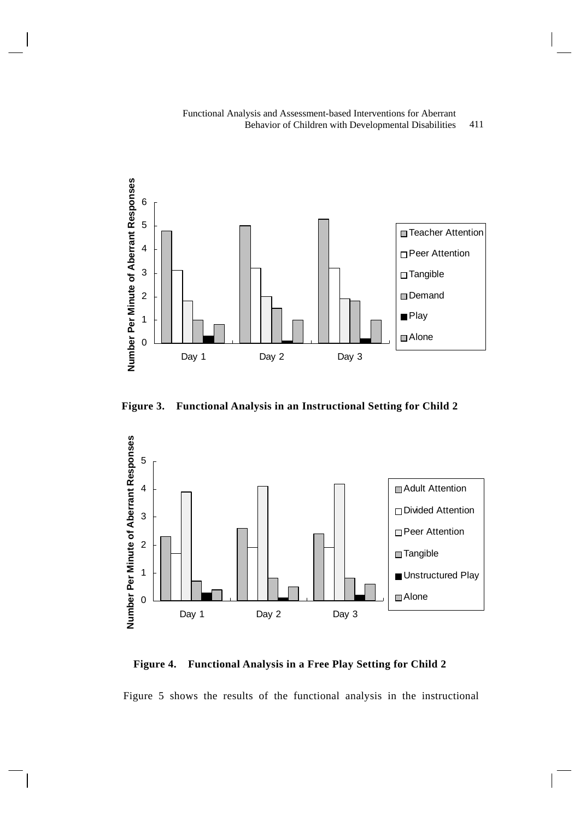



**Figure 3. Functional Analysis in an Instructional Setting for Child 2** 



**Figure 4. Functional Analysis in a Free Play Setting for Child 2** 

Figure 5 shows the results of the functional analysis in the instructional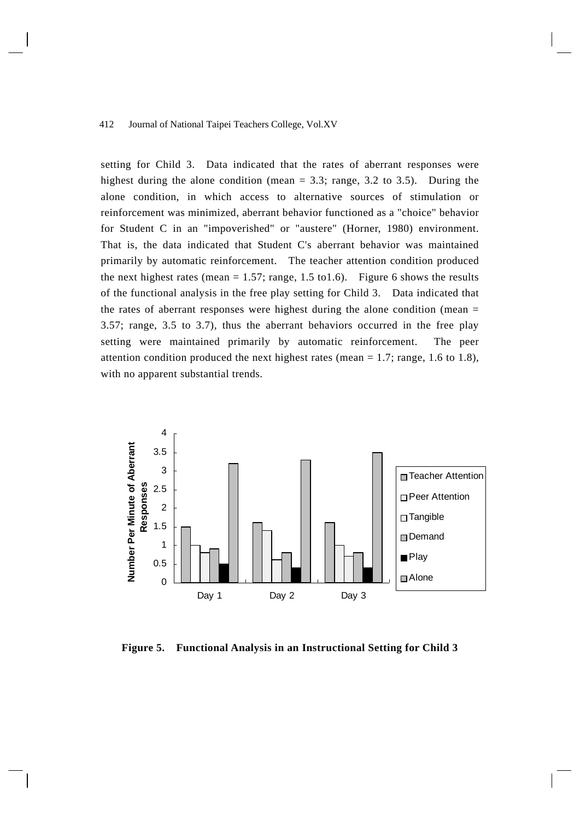setting for Child 3. Data indicated that the rates of aberrant responses were highest during the alone condition (mean  $= 3.3$ ; range, 3.2 to 3.5). During the alone condition, in which access to alternative sources of stimulation or reinforcement was minimized, aberrant behavior functioned as a "choice" behavior for Student C in an "impoverished" or "austere" (Horner, 1980) environment. That is, the data indicated that Student C's aberrant behavior was maintained primarily by automatic reinforcement. The teacher attention condition produced the next highest rates (mean  $= 1.57$ ; range, 1.5 to1.6). Figure 6 shows the results of the functional analysis in the free play setting for Child 3. Data indicated that the rates of aberrant responses were highest during the alone condition (mean  $=$ 3.57; range, 3.5 to 3.7), thus the aberrant behaviors occurred in the free play setting were maintained primarily by automatic reinforcement. The peer attention condition produced the next highest rates (mean  $= 1.7$ ; range, 1.6 to 1.8), with no apparent substantial trends.



**Figure 5. Functional Analysis in an Instructional Setting for Child 3**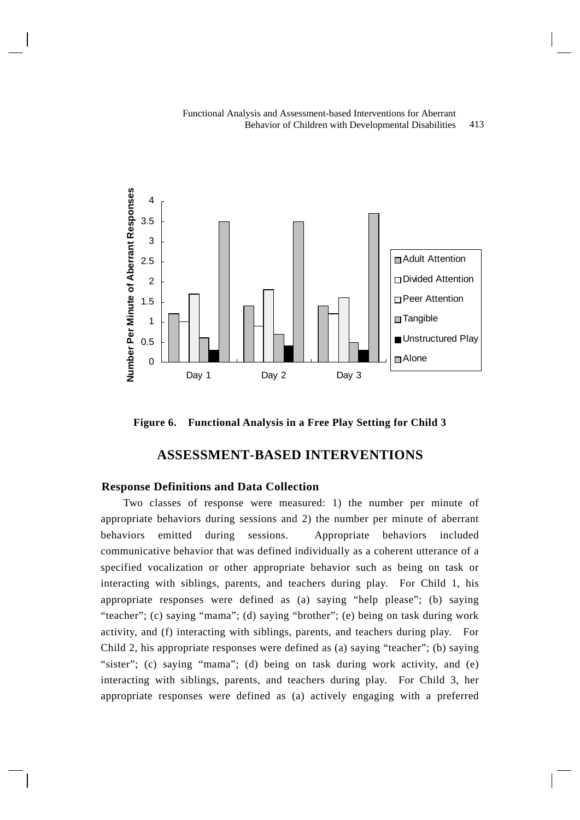

**Figure 6. Functional Analysis in a Free Play Setting for Child 3** 

# **ASSESSMENT-BASED INTERVENTIONS**

# **Response Definitions and Data Collection**

Two classes of response were measured: 1) the number per minute of appropriate behaviors during sessions and 2) the number per minute of aberrant behaviors emitted during sessions. Appropriate behaviors included communicative behavior that was defined individually as a coherent utterance of a specified vocalization or other appropriate behavior such as being on task or interacting with siblings, parents, and teachers during play. For Child 1, his appropriate responses were defined as (a) saying "help please"; (b) saying "teacher"; (c) saying "mama"; (d) saying "brother"; (e) being on task during work activity, and (f) interacting with siblings, parents, and teachers during play. For Child 2, his appropriate responses were defined as (a) saying "teacher"; (b) saying "sister"; (c) saying "mama"; (d) being on task during work activity, and (e) interacting with siblings, parents, and teachers during play. For Child 3, her appropriate responses were defined as (a) actively engaging with a preferred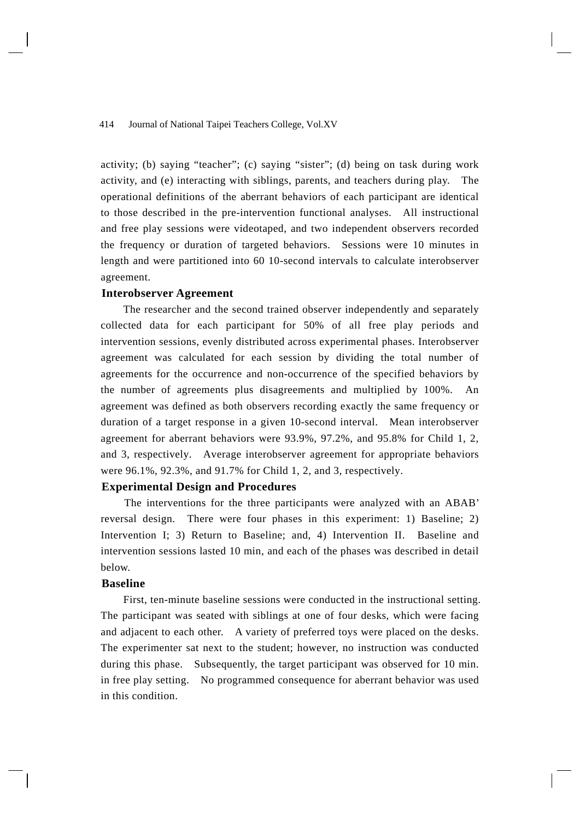activity; (b) saying "teacher"; (c) saying "sister"; (d) being on task during work activity, and (e) interacting with siblings, parents, and teachers during play. The operational definitions of the aberrant behaviors of each participant are identical to those described in the pre-intervention functional analyses. All instructional and free play sessions were videotaped, and two independent observers recorded the frequency or duration of targeted behaviors. Sessions were 10 minutes in length and were partitioned into 60 10-second intervals to calculate interobserver agreement.

# **Interobserver Agreement**

The researcher and the second trained observer independently and separately collected data for each participant for 50% of all free play periods and intervention sessions, evenly distributed across experimental phases. Interobserver agreement was calculated for each session by dividing the total number of agreements for the occurrence and non-occurrence of the specified behaviors by the number of agreements plus disagreements and multiplied by 100%. agreement was defined as both observers recording exactly the same frequency or duration of a target response in a given 10-second interval. Mean interobserver agreement for aberrant behaviors were 93.9%, 97.2%, and 95.8% for Child 1, 2, and 3, respectively. Average interobserver agreement for appropriate behaviors were 96.1%, 92.3%, and 91.7% for Child 1, 2, and 3, respectively.

# **Experimental Design and Procedures**

 The interventions for the three participants were analyzed with an ABAB' reversal design. There were four phases in this experiment: 1) Baseline; 2) Intervention I; 3) Return to Baseline; and, 4) Intervention II. Baseline and intervention sessions lasted 10 min, and each of the phases was described in detail below.

# **Baseline**

First, ten-minute baseline sessions were conducted in the instructional setting. The participant was seated with siblings at one of four desks, which were facing and adjacent to each other. A variety of preferred toys were placed on the desks. The experimenter sat next to the student; however, no instruction was conducted during this phase. Subsequently, the target participant was observed for 10 min. in free play setting. No programmed consequence for aberrant behavior was used in this condition.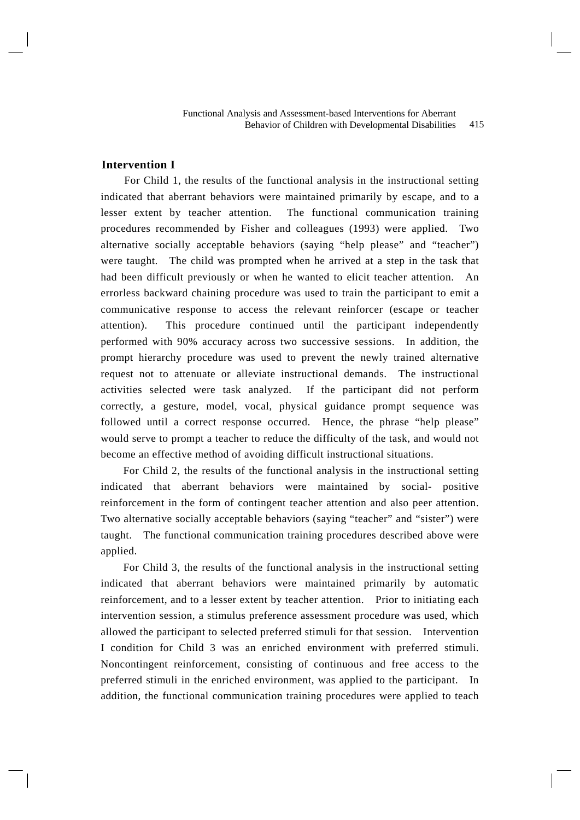# **Intervention I**

 For Child 1, the results of the functional analysis in the instructional setting indicated that aberrant behaviors were maintained primarily by escape, and to a lesser extent by teacher attention. The functional communication training procedures recommended by Fisher and colleagues (1993) were applied. Two alternative socially acceptable behaviors (saying "help please" and "teacher") were taught. The child was prompted when he arrived at a step in the task that had been difficult previously or when he wanted to elicit teacher attention. An errorless backward chaining procedure was used to train the participant to emit a communicative response to access the relevant reinforcer (escape or teacher attention). This procedure continued until the participant independently performed with 90% accuracy across two successive sessions. In addition, the prompt hierarchy procedure was used to prevent the newly trained alternative request not to attenuate or alleviate instructional demands. The instructional activities selected were task analyzed. If the participant did not perform correctly, a gesture, model, vocal, physical guidance prompt sequence was followed until a correct response occurred. Hence, the phrase "help please" would serve to prompt a teacher to reduce the difficulty of the task, and would not become an effective method of avoiding difficult instructional situations.

For Child 2, the results of the functional analysis in the instructional setting indicated that aberrant behaviors were maintained by social- positive reinforcement in the form of contingent teacher attention and also peer attention. Two alternative socially acceptable behaviors (saying "teacher" and "sister") were taught. The functional communication training procedures described above were applied.

For Child 3, the results of the functional analysis in the instructional setting indicated that aberrant behaviors were maintained primarily by automatic reinforcement, and to a lesser extent by teacher attention. Prior to initiating each intervention session, a stimulus preference assessment procedure was used, which allowed the participant to selected preferred stimuli for that session. Intervention I condition for Child 3 was an enriched environment with preferred stimuli. Noncontingent reinforcement, consisting of continuous and free access to the preferred stimuli in the enriched environment, was applied to the participant. In addition, the functional communication training procedures were applied to teach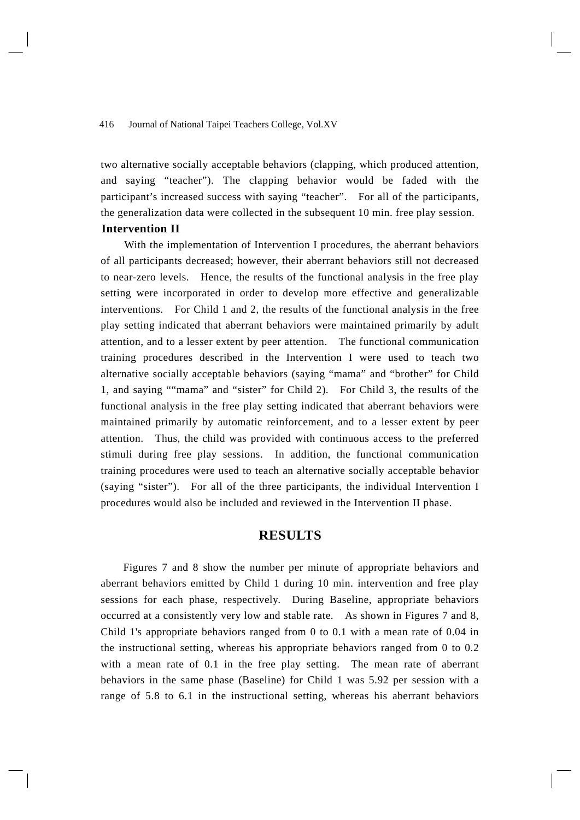two alternative socially acceptable behaviors (clapping, which produced attention, and saying "teacher"). The clapping behavior would be faded with the participant's increased success with saying "teacher". For all of the participants, the generalization data were collected in the subsequent 10 min. free play session.

# **Intervention II**

 With the implementation of Intervention I procedures, the aberrant behaviors of all participants decreased; however, their aberrant behaviors still not decreased to near-zero levels. Hence, the results of the functional analysis in the free play setting were incorporated in order to develop more effective and generalizable interventions. For Child 1 and 2, the results of the functional analysis in the free play setting indicated that aberrant behaviors were maintained primarily by adult attention, and to a lesser extent by peer attention. The functional communication training procedures described in the Intervention I were used to teach two alternative socially acceptable behaviors (saying "mama" and "brother" for Child 1, and saying ""mama" and "sister" for Child 2). For Child 3, the results of the functional analysis in the free play setting indicated that aberrant behaviors were maintained primarily by automatic reinforcement, and to a lesser extent by peer attention. Thus, the child was provided with continuous access to the preferred stimuli during free play sessions. In addition, the functional communication training procedures were used to teach an alternative socially acceptable behavior (saying "sister"). For all of the three participants, the individual Intervention I procedures would also be included and reviewed in the Intervention II phase.

# **RESULTS**

Figures 7 and 8 show the number per minute of appropriate behaviors and aberrant behaviors emitted by Child 1 during 10 min. intervention and free play sessions for each phase, respectively. During Baseline, appropriate behaviors occurred at a consistently very low and stable rate. As shown in Figures 7 and 8, Child 1's appropriate behaviors ranged from 0 to 0.1 with a mean rate of 0.04 in the instructional setting, whereas his appropriate behaviors ranged from 0 to 0.2 with a mean rate of 0.1 in the free play setting. The mean rate of aberrant behaviors in the same phase (Baseline) for Child 1 was 5.92 per session with a range of 5.8 to 6.1 in the instructional setting, whereas his aberrant behaviors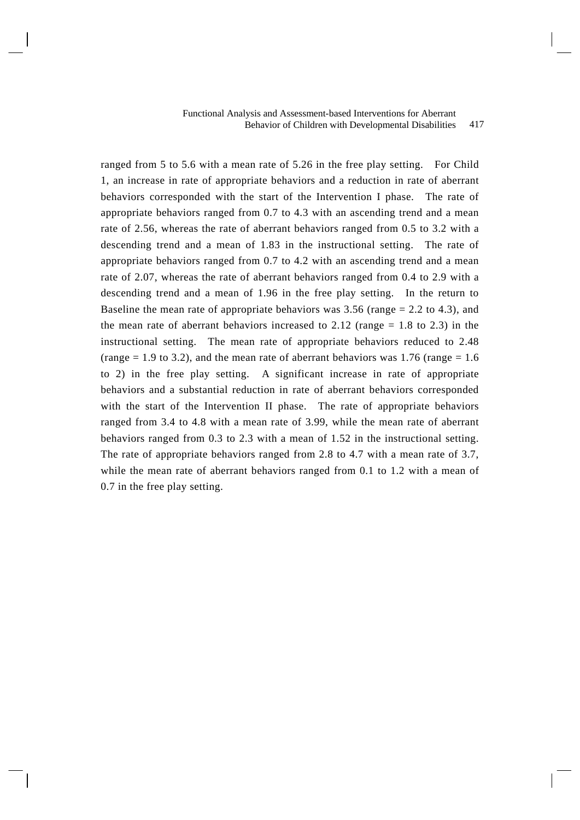ranged from 5 to 5.6 with a mean rate of 5.26 in the free play setting. For Child 1, an increase in rate of appropriate behaviors and a reduction in rate of aberrant behaviors corresponded with the start of the Intervention I phase. The rate of appropriate behaviors ranged from 0.7 to 4.3 with an ascending trend and a mean rate of 2.56, whereas the rate of aberrant behaviors ranged from 0.5 to 3.2 with a descending trend and a mean of 1.83 in the instructional setting. The rate of appropriate behaviors ranged from 0.7 to 4.2 with an ascending trend and a mean rate of 2.07, whereas the rate of aberrant behaviors ranged from 0.4 to 2.9 with a descending trend and a mean of 1.96 in the free play setting. In the return to Baseline the mean rate of appropriate behaviors was  $3.56$  (range  $= 2.2$  to 4.3), and the mean rate of aberrant behaviors increased to 2.12 (range  $= 1.8$  to 2.3) in the instructional setting. The mean rate of appropriate behaviors reduced to 2.48 (range  $= 1.9$  to 3.2), and the mean rate of aberrant behaviors was 1.76 (range  $= 1.6$ ) to 2) in the free play setting. A significant increase in rate of appropriate behaviors and a substantial reduction in rate of aberrant behaviors corresponded with the start of the Intervention II phase. The rate of appropriate behaviors ranged from 3.4 to 4.8 with a mean rate of 3.99, while the mean rate of aberrant behaviors ranged from 0.3 to 2.3 with a mean of 1.52 in the instructional setting. The rate of appropriate behaviors ranged from 2.8 to 4.7 with a mean rate of 3.7, while the mean rate of aberrant behaviors ranged from 0.1 to 1.2 with a mean of 0.7 in the free play setting.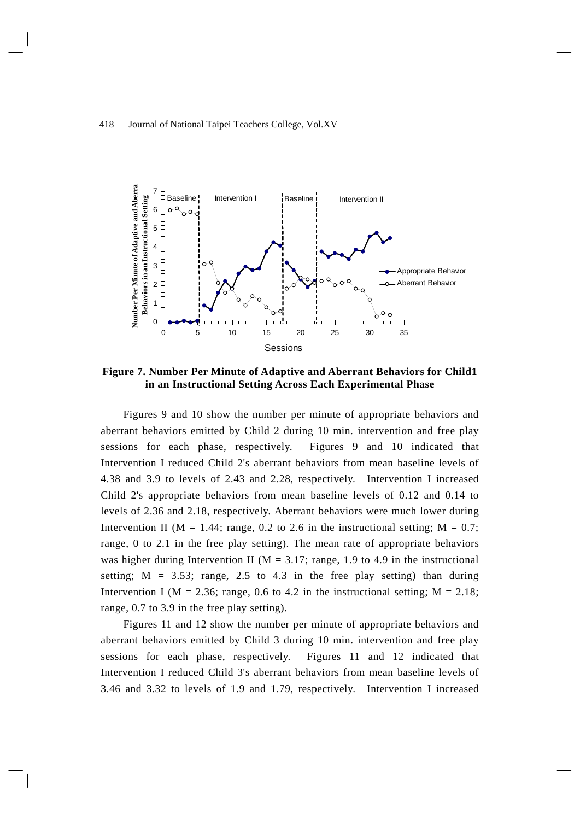

**Figure 7. Number Per Minute of Adaptive and Aberrant Behaviors for Child1 in an Instructional Setting Across Each Experimental Phase** 

Figures 9 and 10 show the number per minute of appropriate behaviors and aberrant behaviors emitted by Child 2 during 10 min. intervention and free play sessions for each phase, respectively. Figures 9 and 10 indicated that Intervention I reduced Child 2's aberrant behaviors from mean baseline levels of 4.38 and 3.9 to levels of 2.43 and 2.28, respectively. Intervention I increased Child 2's appropriate behaviors from mean baseline levels of 0.12 and 0.14 to levels of 2.36 and 2.18, respectively. Aberrant behaviors were much lower during Intervention II ( $M = 1.44$ ; range, 0.2 to 2.6 in the instructional setting;  $M = 0.7$ ; range, 0 to 2.1 in the free play setting). The mean rate of appropriate behaviors was higher during Intervention II ( $M = 3.17$ ; range, 1.9 to 4.9 in the instructional setting;  $M = 3.53$ ; range, 2.5 to 4.3 in the free play setting) than during Intervention I ( $M = 2.36$ ; range, 0.6 to 4.2 in the instructional setting;  $M = 2.18$ ; range, 0.7 to 3.9 in the free play setting).

Figures 11 and 12 show the number per minute of appropriate behaviors and aberrant behaviors emitted by Child 3 during 10 min. intervention and free play sessions for each phase, respectively. Figures 11 and 12 indicated that Intervention I reduced Child 3's aberrant behaviors from mean baseline levels of 3.46 and 3.32 to levels of 1.9 and 1.79, respectively. Intervention I increased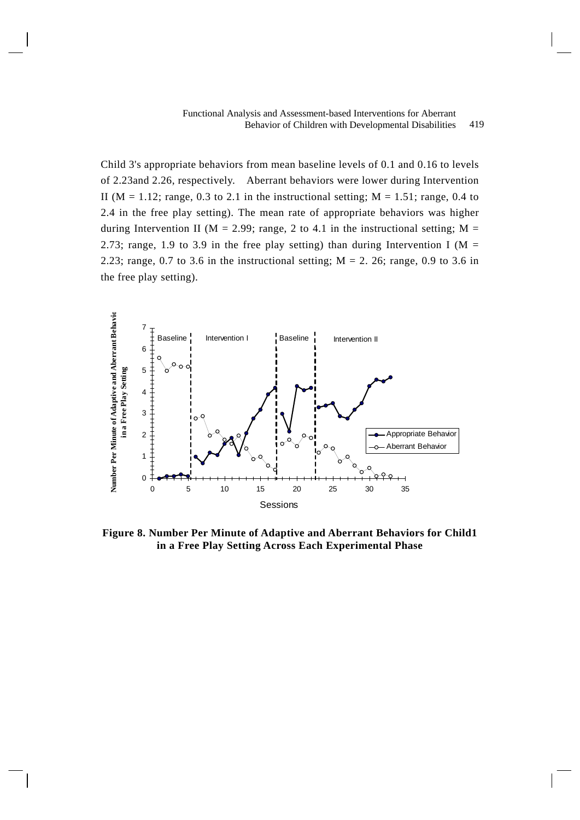Child 3's appropriate behaviors from mean baseline levels of 0.1 and 0.16 to levels of 2.23and 2.26, respectively. Aberrant behaviors were lower during Intervention II ( $M = 1.12$ ; range, 0.3 to 2.1 in the instructional setting;  $M = 1.51$ ; range, 0.4 to 2.4 in the free play setting). The mean rate of appropriate behaviors was higher during Intervention II ( $M = 2.99$ ; range, 2 to 4.1 in the instructional setting;  $M =$ 2.73; range, 1.9 to 3.9 in the free play setting) than during Intervention I ( $M =$ 2.23; range, 0.7 to 3.6 in the instructional setting;  $M = 2$ . 26; range, 0.9 to 3.6 in the free play setting).



**Figure 8. Number Per Minute of Adaptive and Aberrant Behaviors for Child1 in a Free Play Setting Across Each Experimental Phase**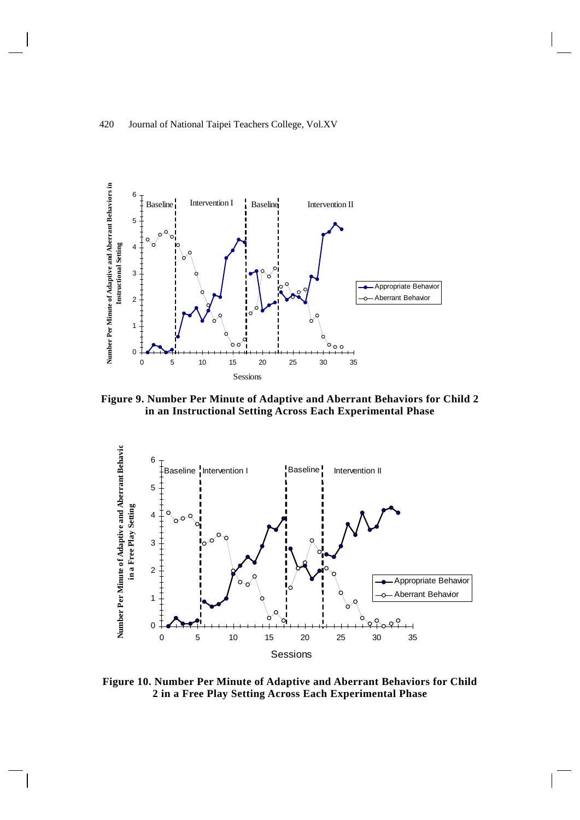

**Figure 9. Number Per Minute of Adaptive and Aberrant Behaviors for Child 2 in an Instructional Setting Across Each Experimental Phase** 



**Figure 10. Number Per Minute of Adaptive and Aberrant Behaviors for Child 2 in a Free Play Setting Across Each Experimental Phase**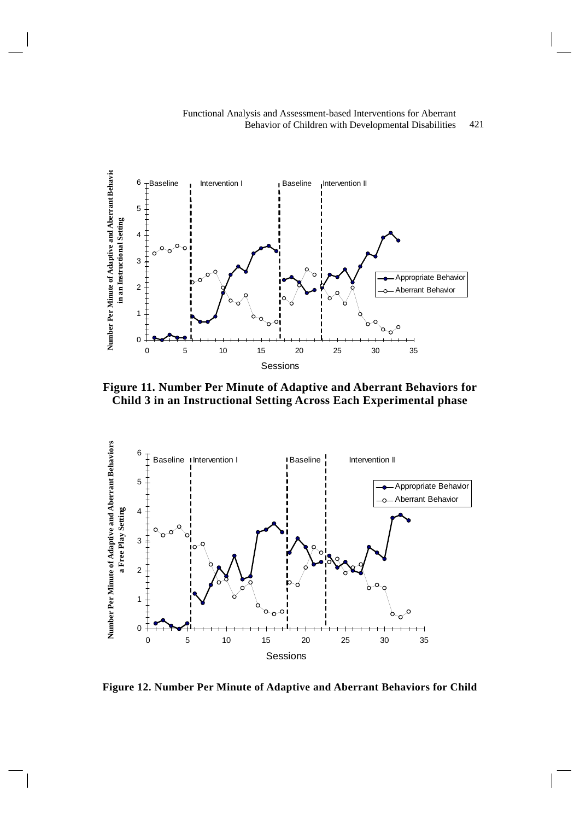



**Figure 11. Number Per Minute of Adaptive and Aberrant Behaviors for Child 3 in an Instructional Setting Across Each Experimental phase** 



**Figure 12. Number Per Minute of Adaptive and Aberrant Behaviors for Child**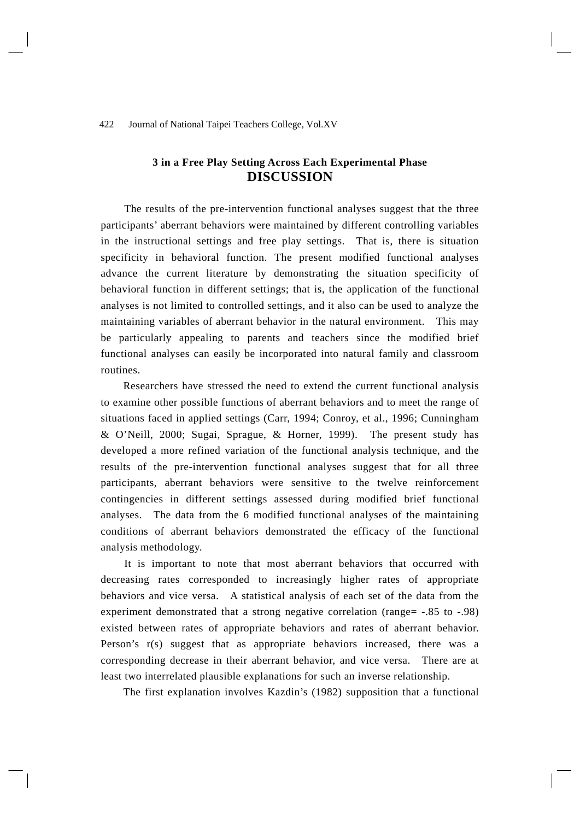# **3 in a Free Play Setting Across Each Experimental Phase DISCUSSION**

 The results of the pre-intervention functional analyses suggest that the three participants' aberrant behaviors were maintained by different controlling variables in the instructional settings and free play settings. That is, there is situation specificity in behavioral function. The present modified functional analyses advance the current literature by demonstrating the situation specificity of behavioral function in different settings; that is, the application of the functional analyses is not limited to controlled settings, and it also can be used to analyze the maintaining variables of aberrant behavior in the natural environment. This may be particularly appealing to parents and teachers since the modified brief functional analyses can easily be incorporated into natural family and classroom routines.

Researchers have stressed the need to extend the current functional analysis to examine other possible functions of aberrant behaviors and to meet the range of situations faced in applied settings (Carr, 1994; Conroy, et al., 1996; Cunningham & O'Neill, 2000; Sugai, Sprague, & Horner, 1999). The present study has developed a more refined variation of the functional analysis technique, and the results of the pre-intervention functional analyses suggest that for all three participants, aberrant behaviors were sensitive to the twelve reinforcement contingencies in different settings assessed during modified brief functional analyses. The data from the 6 modified functional analyses of the maintaining conditions of aberrant behaviors demonstrated the efficacy of the functional analysis methodology.

 It is important to note that most aberrant behaviors that occurred with decreasing rates corresponded to increasingly higher rates of appropriate behaviors and vice versa. A statistical analysis of each set of the data from the experiment demonstrated that a strong negative correlation (range= -.85 to -.98) existed between rates of appropriate behaviors and rates of aberrant behavior. Person's r(s) suggest that as appropriate behaviors increased, there was a corresponding decrease in their aberrant behavior, and vice versa. There are at least two interrelated plausible explanations for such an inverse relationship.

The first explanation involves Kazdin's (1982) supposition that a functional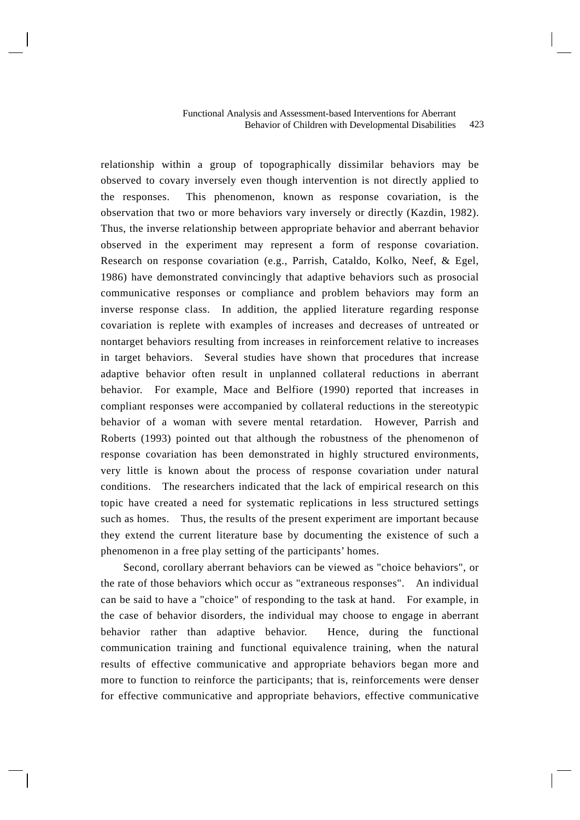#### 423 Functional Analysis and Assessment-based Interventions for Aberrant Behavior of Children with Developmental Disabilities

relationship within a group of topographically dissimilar behaviors may be observed to covary inversely even though intervention is not directly applied to the responses. This phenomenon, known as response covariation, is the observation that two or more behaviors vary inversely or directly (Kazdin, 1982). Thus, the inverse relationship between appropriate behavior and aberrant behavior observed in the experiment may represent a form of response covariation. Research on response covariation (e.g., Parrish, Cataldo, Kolko, Neef, & Egel, 1986) have demonstrated convincingly that adaptive behaviors such as prosocial communicative responses or compliance and problem behaviors may form an inverse response class. In addition, the applied literature regarding response covariation is replete with examples of increases and decreases of untreated or nontarget behaviors resulting from increases in reinforcement relative to increases in target behaviors. Several studies have shown that procedures that increase adaptive behavior often result in unplanned collateral reductions in aberrant behavior. For example, Mace and Belfiore (1990) reported that increases in compliant responses were accompanied by collateral reductions in the stereotypic behavior of a woman with severe mental retardation. However, Parrish and Roberts (1993) pointed out that although the robustness of the phenomenon of response covariation has been demonstrated in highly structured environments, very little is known about the process of response covariation under natural conditions. The researchers indicated that the lack of empirical research on this topic have created a need for systematic replications in less structured settings such as homes. Thus, the results of the present experiment are important because they extend the current literature base by documenting the existence of such a phenomenon in a free play setting of the participants' homes.

Second, corollary aberrant behaviors can be viewed as "choice behaviors", or the rate of those behaviors which occur as "extraneous responses". An individual can be said to have a "choice" of responding to the task at hand. For example, in the case of behavior disorders, the individual may choose to engage in aberrant behavior rather than adaptive behavior. Hence, during the functional communication training and functional equivalence training, when the natural results of effective communicative and appropriate behaviors began more and more to function to reinforce the participants; that is, reinforcements were denser for effective communicative and appropriate behaviors, effective communicative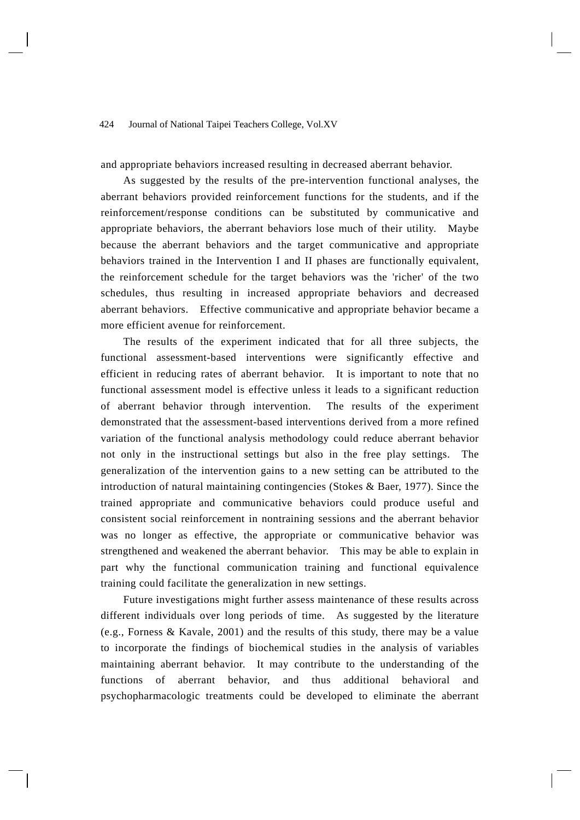and appropriate behaviors increased resulting in decreased aberrant behavior.

As suggested by the results of the pre-intervention functional analyses, the aberrant behaviors provided reinforcement functions for the students, and if the reinforcement/response conditions can be substituted by communicative and appropriate behaviors, the aberrant behaviors lose much of their utility. Maybe because the aberrant behaviors and the target communicative and appropriate behaviors trained in the Intervention I and II phases are functionally equivalent, the reinforcement schedule for the target behaviors was the 'richer' of the two schedules, thus resulting in increased appropriate behaviors and decreased aberrant behaviors. Effective communicative and appropriate behavior became a more efficient avenue for reinforcement.

The results of the experiment indicated that for all three subjects, the functional assessment-based interventions were significantly effective and efficient in reducing rates of aberrant behavior. It is important to note that no functional assessment model is effective unless it leads to a significant reduction of aberrant behavior through intervention. The results of the experiment demonstrated that the assessment-based interventions derived from a more refined variation of the functional analysis methodology could reduce aberrant behavior not only in the instructional settings but also in the free play settings. The generalization of the intervention gains to a new setting can be attributed to the introduction of natural maintaining contingencies (Stokes & Baer, 1977). Since the trained appropriate and communicative behaviors could produce useful and consistent social reinforcement in nontraining sessions and the aberrant behavior was no longer as effective, the appropriate or communicative behavior was strengthened and weakened the aberrant behavior. This may be able to explain in part why the functional communication training and functional equivalence training could facilitate the generalization in new settings.

Future investigations might further assess maintenance of these results across different individuals over long periods of time. As suggested by the literature (e.g., Forness & Kavale, 2001) and the results of this study, there may be a value to incorporate the findings of biochemical studies in the analysis of variables maintaining aberrant behavior. It may contribute to the understanding of the functions of aberrant behavior, and thus additional behavioral and psychopharmacologic treatments could be developed to eliminate the aberrant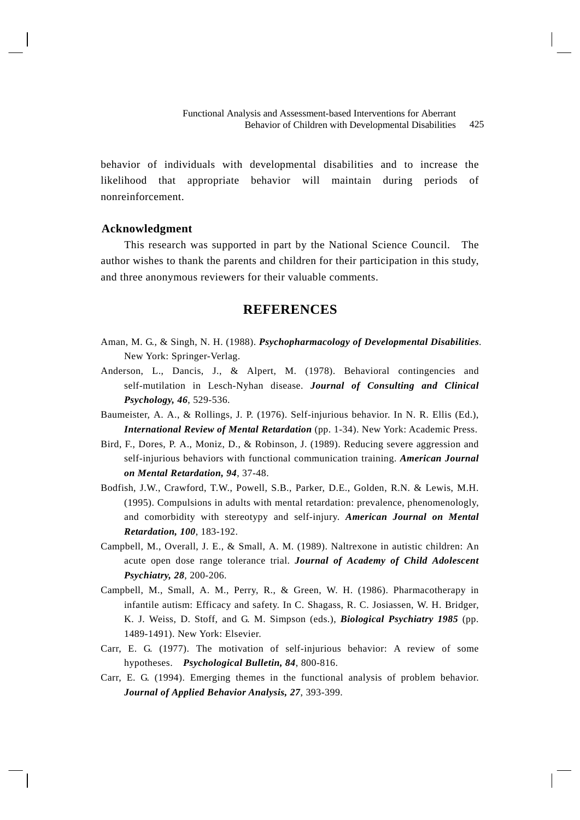behavior of individuals with developmental disabilities and to increase the likelihood that appropriate behavior will maintain during periods of nonreinforcement.

## **Acknowledgment**

This research was supported in part by the National Science Council. The author wishes to thank the parents and children for their participation in this study, and three anonymous reviewers for their valuable comments.

# **REFERENCES**

- Aman, M. G., & Singh, N. H. (1988). *Psychopharmacology of Developmental Disabilities*. New York: Springer-Verlag.
- Anderson, L., Dancis, J., & Alpert, M. (1978). Behavioral contingencies and self-mutilation in Lesch-Nyhan disease. *Journal of Consulting and Clinical Psychology, 46*, 529-536.
- Baumeister, A. A., & Rollings, J. P. (1976). Self-injurious behavior. In N. R. Ellis (Ed.), *International Review of Mental Retardation* (pp. 1-34). New York: Academic Press.
- Bird, F., Dores, P. A., Moniz, D., & Robinson, J. (1989). Reducing severe aggression and self-injurious behaviors with functional communication training. *American Journal on Mental Retardation, 94*, 37-48.
- Bodfish, J.W., Crawford, T.W., Powell, S.B., Parker, D.E., Golden, R.N. & Lewis, M.H. (1995). Compulsions in adults with mental retardation: prevalence, phenomenologly, and comorbidity with stereotypy and self-injury. *American Journal on Mental Retardation, 100*, 183-192.
- Campbell, M., Overall, J. E., & Small, A. M. (1989). Naltrexone in autistic children: An acute open dose range tolerance trial. *Journal of Academy of Child Adolescent Psychiatry, 28*, 200-206.
- Campbell, M., Small, A. M., Perry, R., & Green, W. H. (1986). Pharmacotherapy in infantile autism: Efficacy and safety. In C. Shagass, R. C. Josiassen, W. H. Bridger, K. J. Weiss, D. Stoff, and G. M. Simpson (eds.), *Biological Psychiatry 1985* (pp. 1489-1491). New York: Elsevier.
- Carr, E. G. (1977). The motivation of self-injurious behavior: A review of some hypotheses. *Psychological Bulletin, 84*, 800-816.
- Carr, E. G. (1994). Emerging themes in the functional analysis of problem behavior. *Journal of Applied Behavior Analysis, 27*, 393-399.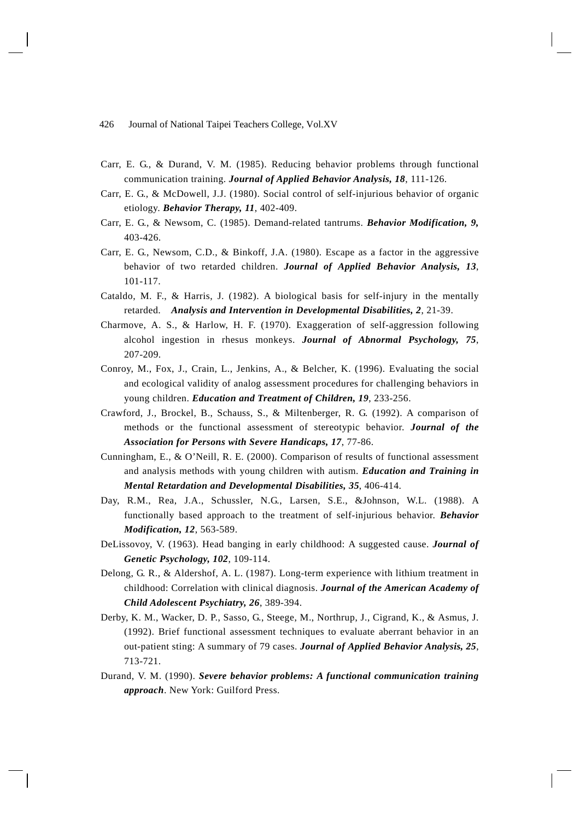- Carr, E. G., & Durand, V. M. (1985). Reducing behavior problems through functional communication training. *Journal of Applied Behavior Analysis, 18*, 111-126.
- Carr, E. G., & McDowell, J.J. (1980). Social control of self-injurious behavior of organic etiology. *Behavior Therapy, 11*, 402-409.
- Carr, E. G., & Newsom, C. (1985). Demand-related tantrums. *Behavior Modification, 9,* 403-426.
- Carr, E. G., Newsom, C.D., & Binkoff, J.A. (1980). Escape as a factor in the aggressive behavior of two retarded children. *Journal of Applied Behavior Analysis, 13*, 101-117.
- Cataldo, M. F., & Harris, J. (1982). A biological basis for self-injury in the mentally retarded. *Analysis and Intervention in Developmental Disabilities, 2*, 21-39.
- Charmove, A. S., & Harlow, H. F. (1970). Exaggeration of self-aggression following alcohol ingestion in rhesus monkeys. *Journal of Abnormal Psychology, 75*, 207-209.
- Conroy, M., Fox, J., Crain, L., Jenkins, A., & Belcher, K. (1996). Evaluating the social and ecological validity of analog assessment procedures for challenging behaviors in young children. *Education and Treatment of Children, 19*, 233-256.
- Crawford, J., Brockel, B., Schauss, S., & Miltenberger, R. G. (1992). A comparison of methods or the functional assessment of stereotypic behavior. *Journal of the Association for Persons with Severe Handicaps, 17*, 77-86.
- Cunningham, E., & O'Neill, R. E. (2000). Comparison of results of functional assessment and analysis methods with young children with autism. *Education and Training in Mental Retardation and Developmental Disabilities, 35*, 406-414.
- Day, R.M., Rea, J.A., Schussler, N.G., Larsen, S.E., &Johnson, W.L. (1988). A functionally based approach to the treatment of self-injurious behavior. *Behavior Modification, 12*, 563-589.
- DeLissovoy, V. (1963). Head banging in early childhood: A suggested cause. *Journal of Genetic Psychology, 102*, 109-114.
- Delong, G. R., & Aldershof, A. L. (1987). Long-term experience with lithium treatment in childhood: Correlation with clinical diagnosis. *Journal of the American Academy of Child Adolescent Psychiatry, 26*, 389-394.
- Derby, K. M., Wacker, D. P., Sasso, G., Steege, M., Northrup, J., Cigrand, K., & Asmus, J. (1992). Brief functional assessment techniques to evaluate aberrant behavior in an out-patient sting: A summary of 79 cases. *Journal of Applied Behavior Analysis, 25*, 713-721.
- Durand, V. M. (1990). *Severe behavior problems: A functional communication training approach*. New York: Guilford Press.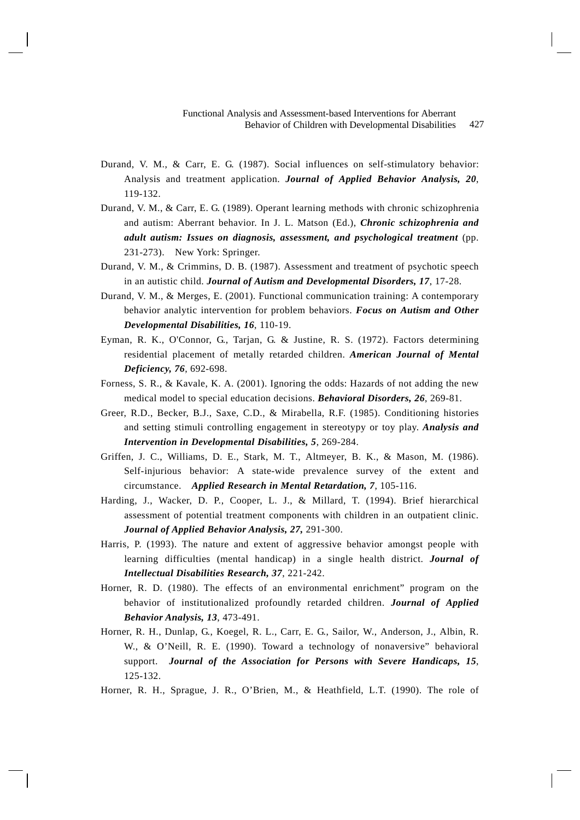- Durand, V. M., & Carr, E. G. (1987). Social influences on self-stimulatory behavior: Analysis and treatment application. *Journal of Applied Behavior Analysis, 20*, 119-132.
- Durand, V. M., & Carr, E. G. (1989). Operant learning methods with chronic schizophrenia and autism: Aberrant behavior. In J. L. Matson (Ed.), *Chronic schizophrenia and adult autism: Issues on diagnosis, assessment, and psychological treatment* (pp. 231-273). New York: Springer.
- Durand, V. M., & Crimmins, D. B. (1987). Assessment and treatment of psychotic speech in an autistic child. *Journal of Autism and Developmental Disorders, 17*, 17-28.
- Durand, V. M., & Merges, E. (2001). Functional communication training: A contemporary behavior analytic intervention for problem behaviors. *Focus on Autism and Other Developmental Disabilities, 16*, 110-19.
- Eyman, R. K., O'Connor, G., Tarjan, G. & Justine, R. S. (1972). Factors determining residential placement of metally retarded children. *American Journal of Mental Deficiency, 76*, 692-698.
- Forness, S. R., & Kavale, K. A. (2001). Ignoring the odds: Hazards of not adding the new medical model to special education decisions. *Behavioral Disorders, 26*, 269-81.
- Greer, R.D., Becker, B.J., Saxe, C.D., & Mirabella, R.F. (1985). Conditioning histories and setting stimuli controlling engagement in stereotypy or toy play. *Analysis and Intervention in Developmental Disabilities, 5*, 269-284.
- Griffen, J. C., Williams, D. E., Stark, M. T., Altmeyer, B. K., & Mason, M. (1986). Self-injurious behavior: A state-wide prevalence survey of the extent and circumstance. *Applied Research in Mental Retardation, 7*, 105-116.
- Harding, J., Wacker, D. P., Cooper, L. J., & Millard, T. (1994). Brief hierarchical assessment of potential treatment components with children in an outpatient clinic. *Journal of Applied Behavior Analysis, 27,* 291-300.
- Harris, P. (1993). The nature and extent of aggressive behavior amongst people with learning difficulties (mental handicap) in a single health district. *Journal of Intellectual Disabilities Research, 37*, 221-242.
- Horner, R. D. (1980). The effects of an environmental enrichment" program on the behavior of institutionalized profoundly retarded children. *Journal of Applied Behavior Analysis, 13*, 473-491.
- Horner, R. H., Dunlap, G., Koegel, R. L., Carr, E. G., Sailor, W., Anderson, J., Albin, R. W., & O'Neill, R. E. (1990). Toward a technology of nonaversive" behavioral support. *Journal of the Association for Persons with Severe Handicaps, 15*, 125-132.
- Horner, R. H., Sprague, J. R., O'Brien, M., & Heathfield, L.T. (1990). The role of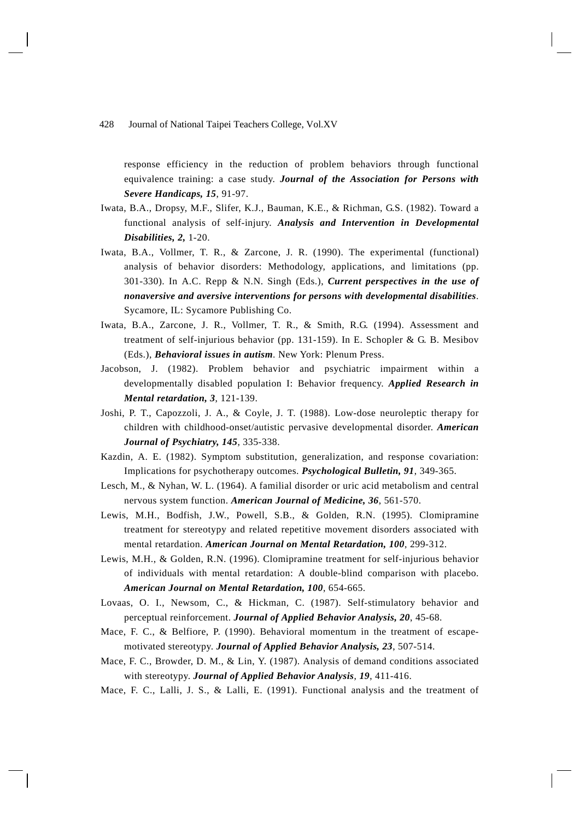response efficiency in the reduction of problem behaviors through functional equivalence training: a case study. *Journal of the Association for Persons with Severe Handicaps, 15*, 91-97.

- Iwata, B.A., Dropsy, M.F., Slifer, K.J., Bauman, K.E., & Richman, G.S. (1982). Toward a functional analysis of self-injury. *Analysis and Intervention in Developmental Disabilities, 2,* 1-20.
- Iwata, B.A., Vollmer, T. R., & Zarcone, J. R. (1990). The experimental (functional) analysis of behavior disorders: Methodology, applications, and limitations (pp. 301-330). In A.C. Repp & N.N. Singh (Eds.), *Current perspectives in the use of nonaversive and aversive interventions for persons with developmental disabilities*. Sycamore, IL: Sycamore Publishing Co.
- Iwata, B.A., Zarcone, J. R., Vollmer, T. R., & Smith, R.G. (1994). Assessment and treatment of self-injurious behavior (pp. 131-159). In E. Schopler & G. B. Mesibov (Eds.), *Behavioral issues in autism*. New York: Plenum Press.
- Jacobson, J. (1982). Problem behavior and psychiatric impairment within a developmentally disabled population I: Behavior frequency. *Applied Research in Mental retardation, 3*, 121-139.
- Joshi, P. T., Capozzoli, J. A., & Coyle, J. T. (1988). Low-dose neuroleptic therapy for children with childhood-onset/autistic pervasive developmental disorder. *American Journal of Psychiatry, 145*, 335-338.
- Kazdin, A. E. (1982). Symptom substitution, generalization, and response covariation: Implications for psychotherapy outcomes. *Psychological Bulletin, 91*, 349-365.
- Lesch, M., & Nyhan, W. L. (1964). A familial disorder or uric acid metabolism and central nervous system function. *American Journal of Medicine, 36*, 561-570.
- Lewis, M.H., Bodfish, J.W., Powell, S.B., & Golden, R.N. (1995). Clomipramine treatment for stereotypy and related repetitive movement disorders associated with mental retardation. *American Journal on Mental Retardation, 100*, 299-312.
- Lewis, M.H., & Golden, R.N. (1996). Clomipramine treatment for self-injurious behavior of individuals with mental retardation: A double-blind comparison with placebo. *American Journal on Mental Retardation, 100*, 654-665.
- Lovaas, O. I., Newsom, C., & Hickman, C. (1987). Self-stimulatory behavior and perceptual reinforcement. *Journal of Applied Behavior Analysis, 20*, 45-68.
- Mace, F. C., & Belfiore, P. (1990). Behavioral momentum in the treatment of escapemotivated stereotypy. *Journal of Applied Behavior Analysis, 23*, 507-514.
- Mace, F. C., Browder, D. M., & Lin, Y. (1987). Analysis of demand conditions associated with stereotypy. *Journal of Applied Behavior Analysis*, *19*, 411-416.
- Mace, F. C., Lalli, J. S., & Lalli, E. (1991). Functional analysis and the treatment of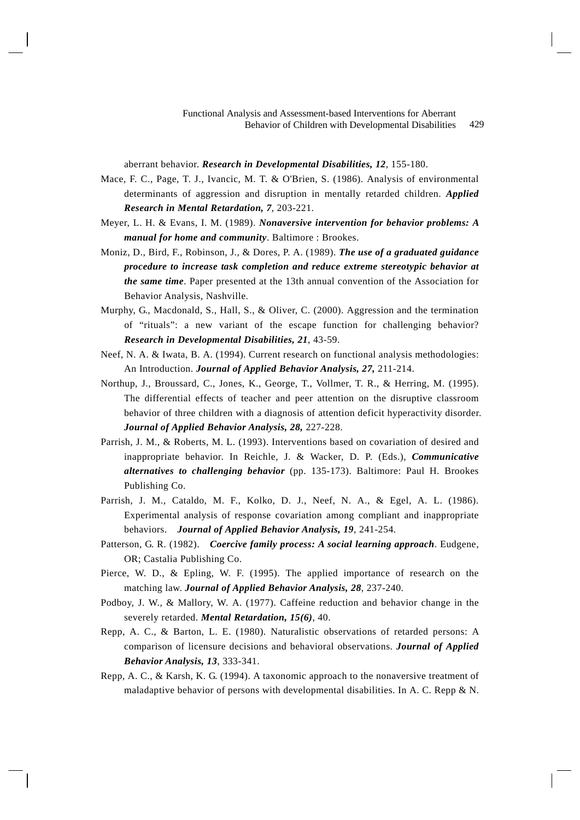aberrant behavior. *Research in Developmental Disabilities, 12*, 155-180.

- Mace, F. C., Page, T. J., Ivancic, M. T. & O'Brien, S. (1986). Analysis of environmental determinants of aggression and disruption in mentally retarded children. *Applied Research in Mental Retardation, 7*, 203-221.
- Meyer, L. H. & Evans, I. M. (1989). *Nonaversive intervention for behavior problems: A manual for home and community*. Baltimore : Brookes.
- Moniz, D., Bird, F., Robinson, J., & Dores, P. A. (1989). *The use of a graduated guidance procedure to increase task completion and reduce extreme stereotypic behavior at the same time*. Paper presented at the 13th annual convention of the Association for Behavior Analysis, Nashville.
- Murphy, G., Macdonald, S., Hall, S., & Oliver, C. (2000). Aggression and the termination of "rituals": a new variant of the escape function for challenging behavior? *Research in Developmental Disabilities, 21*, 43-59.
- Neef, N. A. & Iwata, B. A. (1994). Current research on functional analysis methodologies: An Introduction. *Journal of Applied Behavior Analysis, 27,* 211-214.
- Northup, J., Broussard, C., Jones, K., George, T., Vollmer, T. R., & Herring, M. (1995). The differential effects of teacher and peer attention on the disruptive classroom behavior of three children with a diagnosis of attention deficit hyperactivity disorder. *Journal of Applied Behavior Analysis, 28,* 227-228.
- Parrish, J. M., & Roberts, M. L. (1993). Interventions based on covariation of desired and inappropriate behavior. In Reichle, J. & Wacker, D. P. (Eds.), *Communicative alternatives to challenging behavior* (pp. 135-173). Baltimore: Paul H. Brookes Publishing Co.
- Parrish, J. M., Cataldo, M. F., Kolko, D. J., Neef, N. A., & Egel, A. L. (1986). Experimental analysis of response covariation among compliant and inappropriate behaviors. *Journal of Applied Behavior Analysis, 19*, 241-254.
- Patterson, G. R. (1982). *Coercive family process: A social learning approach*. Eudgene, OR; Castalia Publishing Co.
- Pierce, W. D., & Epling, W. F. (1995). The applied importance of research on the matching law. *Journal of Applied Behavior Analysis, 28*, 237-240.
- Podboy, J. W., & Mallory, W. A. (1977). Caffeine reduction and behavior change in the severely retarded. *Mental Retardation, 15(6)*, 40.
- Repp, A. C., & Barton, L. E. (1980). Naturalistic observations of retarded persons: A comparison of licensure decisions and behavioral observations. *Journal of Applied Behavior Analysis, 13*, 333-341.
- Repp, A. C., & Karsh, K. G. (1994). A taxonomic approach to the nonaversive treatment of maladaptive behavior of persons with developmental disabilities. In A. C. Repp & N.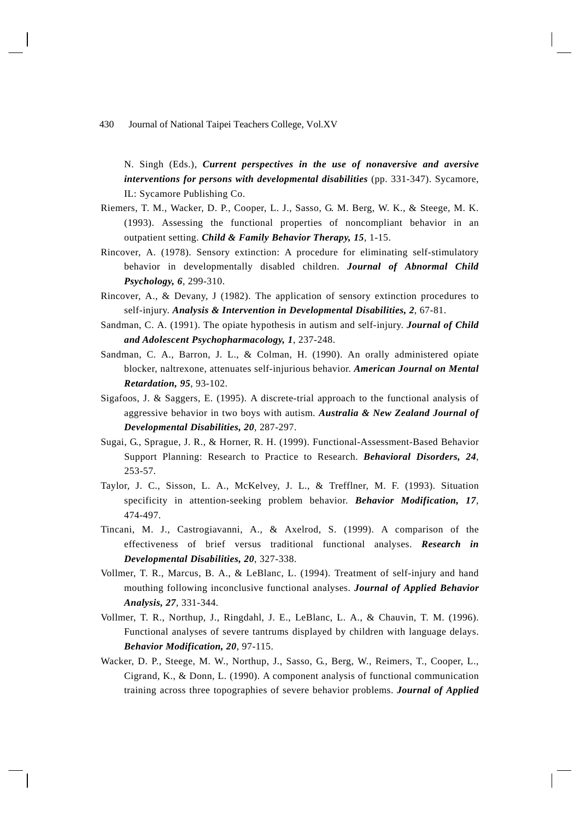N. Singh (Eds.), *Current perspectives in the use of nonaversive and aversive interventions for persons with developmental disabilities* (pp. 331-347). Sycamore, IL: Sycamore Publishing Co.

- Riemers, T. M., Wacker, D. P., Cooper, L. J., Sasso, G. M. Berg, W. K., & Steege, M. K. (1993). Assessing the functional properties of noncompliant behavior in an outpatient setting. *Child & Family Behavior Therapy, 15*, 1-15.
- Rincover, A. (1978). Sensory extinction: A procedure for eliminating self-stimulatory behavior in developmentally disabled children. *Journal of Abnormal Child Psychology, 6*, 299-310.
- Rincover, A., & Devany, J (1982). The application of sensory extinction procedures to self-injury. *Analysis & Intervention in Developmental Disabilities, 2*, 67-81.
- Sandman, C. A. (1991). The opiate hypothesis in autism and self-injury. *Journal of Child and Adolescent Psychopharmacology, 1*, 237-248.
- Sandman, C. A., Barron, J. L., & Colman, H. (1990). An orally administered opiate blocker, naltrexone, attenuates self-injurious behavior. *American Journal on Mental Retardation, 95*, 93-102.
- Sigafoos, J. & Saggers, E. (1995). A discrete-trial approach to the functional analysis of aggressive behavior in two boys with autism. *Australia & New Zealand Journal of Developmental Disabilities, 20*, 287-297.
- Sugai, G., Sprague, J. R., & Horner, R. H. (1999). Functional-Assessment-Based Behavior Support Planning: Research to Practice to Research. *Behavioral Disorders, 24*, 253-57.
- Taylor, J. C., Sisson, L. A., McKelvey, J. L., & Trefflner, M. F. (1993). Situation specificity in attention-seeking problem behavior. *Behavior Modification, 17*, 474-497.
- Tincani, M. J., Castrogiavanni, A., & Axelrod, S. (1999). A comparison of the effectiveness of brief versus traditional functional analyses. *Research in Developmental Disabilities, 20*, 327-338.
- Vollmer, T. R., Marcus, B. A., & LeBlanc, L. (1994). Treatment of self-injury and hand mouthing following inconclusive functional analyses. *Journal of Applied Behavior Analysis, 27*, 331-344.
- Vollmer, T. R., Northup, J., Ringdahl, J. E., LeBlanc, L. A., & Chauvin, T. M. (1996). Functional analyses of severe tantrums displayed by children with language delays. *Behavior Modification, 20*, 97-115.
- Wacker, D. P., Steege, M. W., Northup, J., Sasso, G., Berg, W., Reimers, T., Cooper, L., Cigrand, K., & Donn, L. (1990). A component analysis of functional communication training across three topographies of severe behavior problems. *Journal of Applied*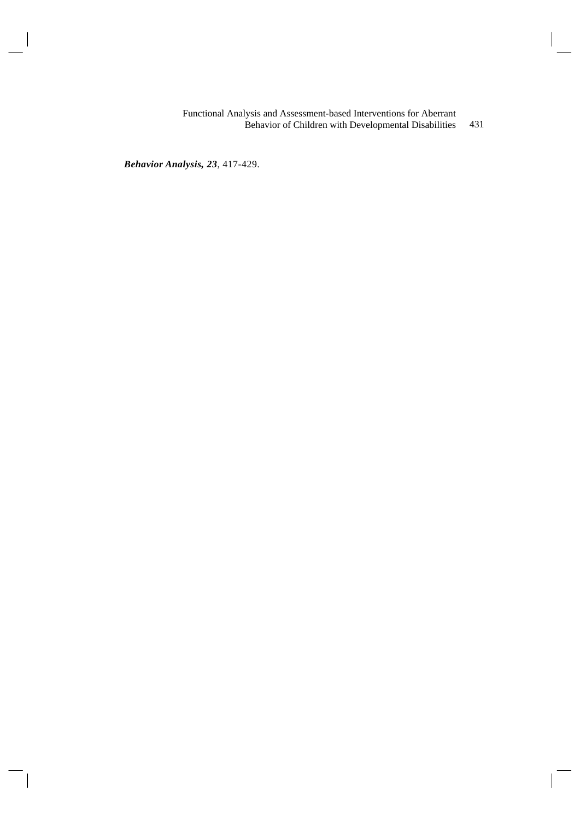431 Functional Analysis and Assessment-based Interventions for Aberrant Behavior of Children with Developmental Disabilities

*Behavior Analysis, 23*, 417-429.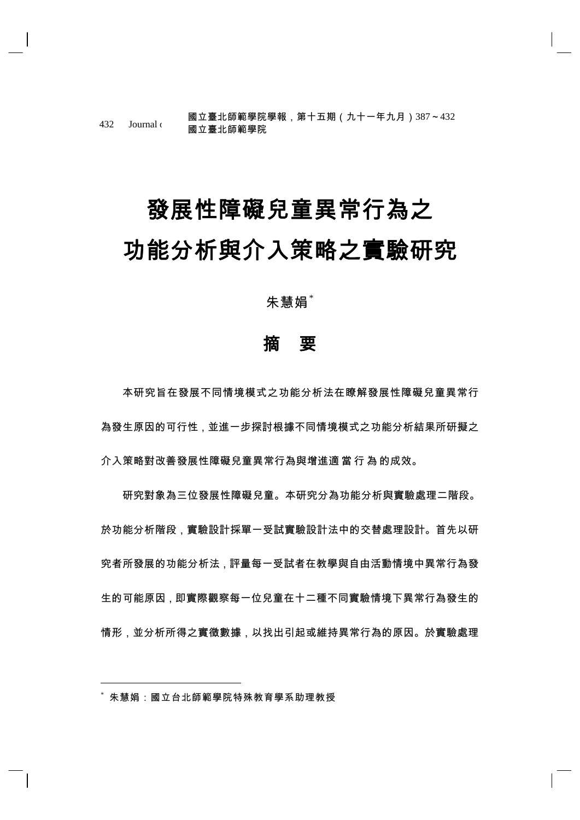432 Journal of Allemann March College, Vol.XV Party College, Vol.XV Party College, Vol.XV Party College, Vol.X 國立臺北師範學院學報,第十五期(九十一年九月)387~432

# 發展性障礙兒童異常行為之 功能分析與介入策略之實驗研究

朱慧娟"

# 摘 要

本研究旨在發展不同情境模式之功能分析法在瞭解發展性障礙兒童異常行 為發生原因的可行性,並進一步探討根據不同情境模式之功能分析結果所研擬之 介入策略對改善發展性障礙兒童異常行為與增進適 當 行 為 的成效。

研究對象為三位發展性障礙兒童。本研究分為功能分析與實驗處理二階段。 於功能分析階段,實驗設計採單一受試實驗設計法中的交替處理設計。首先以研 究者所發展的功能分析法,評量每一受試者在教學與自由活動情境中異常行為發 生的可能原因,即實際觀察每一位兒童在十二種不同實驗情境下異常行為發生的 情形,並分析所得之實徵數據,以找出引起或維持異常行為的原因。於實驗處理

朱慧娟:國立台北師範學院特殊教育學系助理教授

1